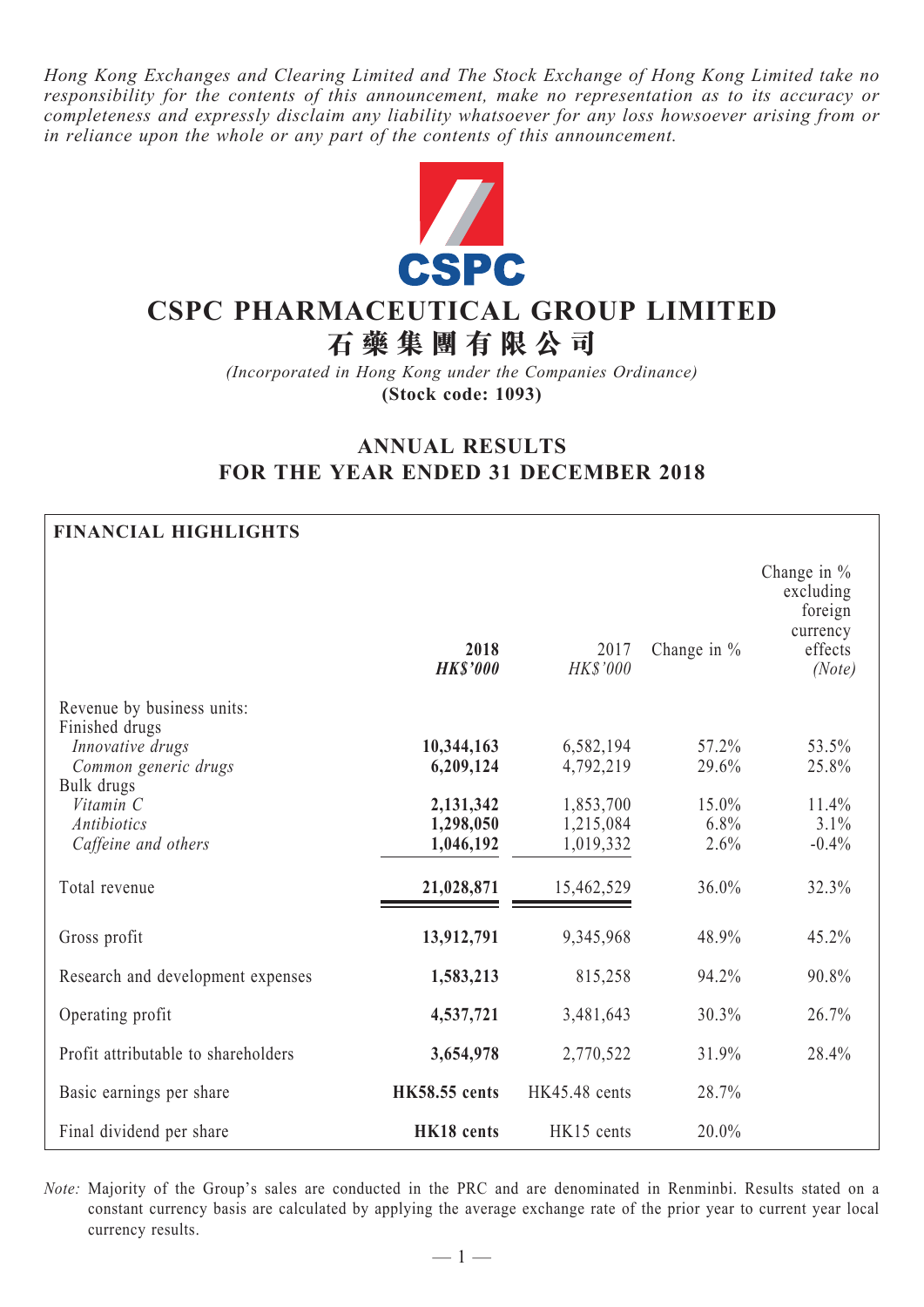*Hong Kong Exchanges and Clearing Limited and The Stock Exchange of Hong Kong Limited take no responsibility for the contents of this announcement, make no representation as to its accuracy or completeness and expressly disclaim any liability whatsoever for any loss howsoever arising from or in reliance upon the whole or any part of the contents of this announcement.*



# **CSPC PHARMACEUTICAL GROUP LIMITED**

**石 藥 集 團 有 限 公 司**

*(Incorporated in Hong Kong under the Companies Ordinance)* **(Stock code: 1093)**

# **ANNUAL RESULTS FOR THE YEAR ENDED 31 DECEMBER 2018**

# **FINANCIAL HIGHLIGHTS**

|                                                                          | 2018<br><b>HK\$'000</b>             | 2017<br>HK\$'000                    | Change in %           | Change in $%$<br>excluding<br>foreign<br>currency<br>effects<br>(Note) |
|--------------------------------------------------------------------------|-------------------------------------|-------------------------------------|-----------------------|------------------------------------------------------------------------|
| Revenue by business units:                                               |                                     |                                     |                       |                                                                        |
| Finished drugs<br>Innovative drugs<br>Common generic drugs<br>Bulk drugs | 10,344,163<br>6,209,124             | 6,582,194<br>4,792,219              | 57.2%<br>29.6%        | 53.5%<br>25.8%                                                         |
| Vitamin C<br><b>Antibiotics</b><br>Caffeine and others                   | 2,131,342<br>1,298,050<br>1,046,192 | 1,853,700<br>1,215,084<br>1,019,332 | 15.0%<br>6.8%<br>2.6% | 11.4%<br>3.1%<br>$-0.4%$                                               |
| Total revenue                                                            | 21,028,871                          | 15,462,529                          | 36.0%                 | 32.3%                                                                  |
| Gross profit                                                             | 13,912,791                          | 9,345,968                           | 48.9%                 | 45.2%                                                                  |
| Research and development expenses                                        | 1,583,213                           | 815,258                             | 94.2%                 | 90.8%                                                                  |
| Operating profit                                                         | 4,537,721                           | 3,481,643                           | 30.3%                 | 26.7%                                                                  |
| Profit attributable to shareholders                                      | 3,654,978                           | 2,770,522                           | 31.9%                 | 28.4%                                                                  |
| Basic earnings per share                                                 | <b>HK58.55</b> cents                | HK45.48 cents                       | 28.7%                 |                                                                        |
| Final dividend per share                                                 | HK18 cents                          | HK15 cents                          | 20.0%                 |                                                                        |

*Note:* Majority of the Group's sales are conducted in the PRC and are denominated in Renminbi. Results stated on a constant currency basis are calculated by applying the average exchange rate of the prior year to current year local currency results.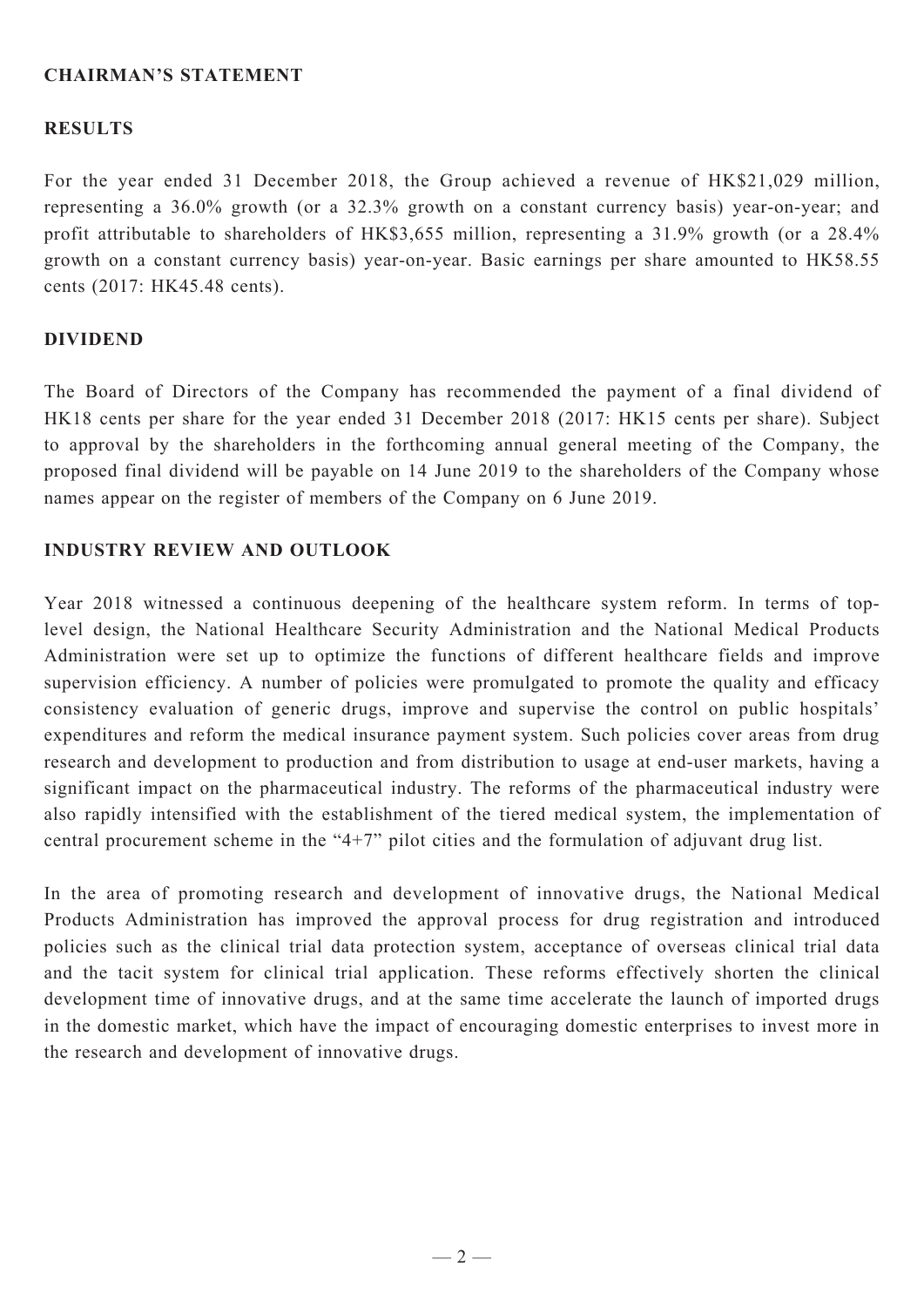### **Chairman's Statement**

#### **RESULTS**

For the year ended 31 December 2018, the Group achieved a revenue of HK\$21,029 million, representing a 36.0% growth (or a 32.3% growth on a constant currency basis) year-on-year; and profit attributable to shareholders of HK\$3,655 million, representing a 31.9% growth (or a 28.4% growth on a constant currency basis) year-on-year. Basic earnings per share amounted to HK58.55 cents (2017: HK45.48 cents).

#### **dividend**

The Board of Directors of the Company has recommended the payment of a final dividend of HK18 cents per share for the year ended 31 December 2018 (2017: HK15 cents per share). Subject to approval by the shareholders in the forthcoming annual general meeting of the Company, the proposed final dividend will be payable on 14 June 2019 to the shareholders of the Company whose names appear on the register of members of the Company on 6 June 2019.

#### **Industry Review And Outlook**

Year 2018 witnessed a continuous deepening of the healthcare system reform. In terms of toplevel design, the National Healthcare Security Administration and the National Medical Products Administration were set up to optimize the functions of different healthcare fields and improve supervision efficiency. A number of policies were promulgated to promote the quality and efficacy consistency evaluation of generic drugs, improve and supervise the control on public hospitals' expenditures and reform the medical insurance payment system. Such policies cover areas from drug research and development to production and from distribution to usage at end-user markets, having a significant impact on the pharmaceutical industry. The reforms of the pharmaceutical industry were also rapidly intensified with the establishment of the tiered medical system, the implementation of central procurement scheme in the "4+7" pilot cities and the formulation of adjuvant drug list.

In the area of promoting research and development of innovative drugs, the National Medical Products Administration has improved the approval process for drug registration and introduced policies such as the clinical trial data protection system, acceptance of overseas clinical trial data and the tacit system for clinical trial application. These reforms effectively shorten the clinical development time of innovative drugs, and at the same time accelerate the launch of imported drugs in the domestic market, which have the impact of encouraging domestic enterprises to invest more in the research and development of innovative drugs.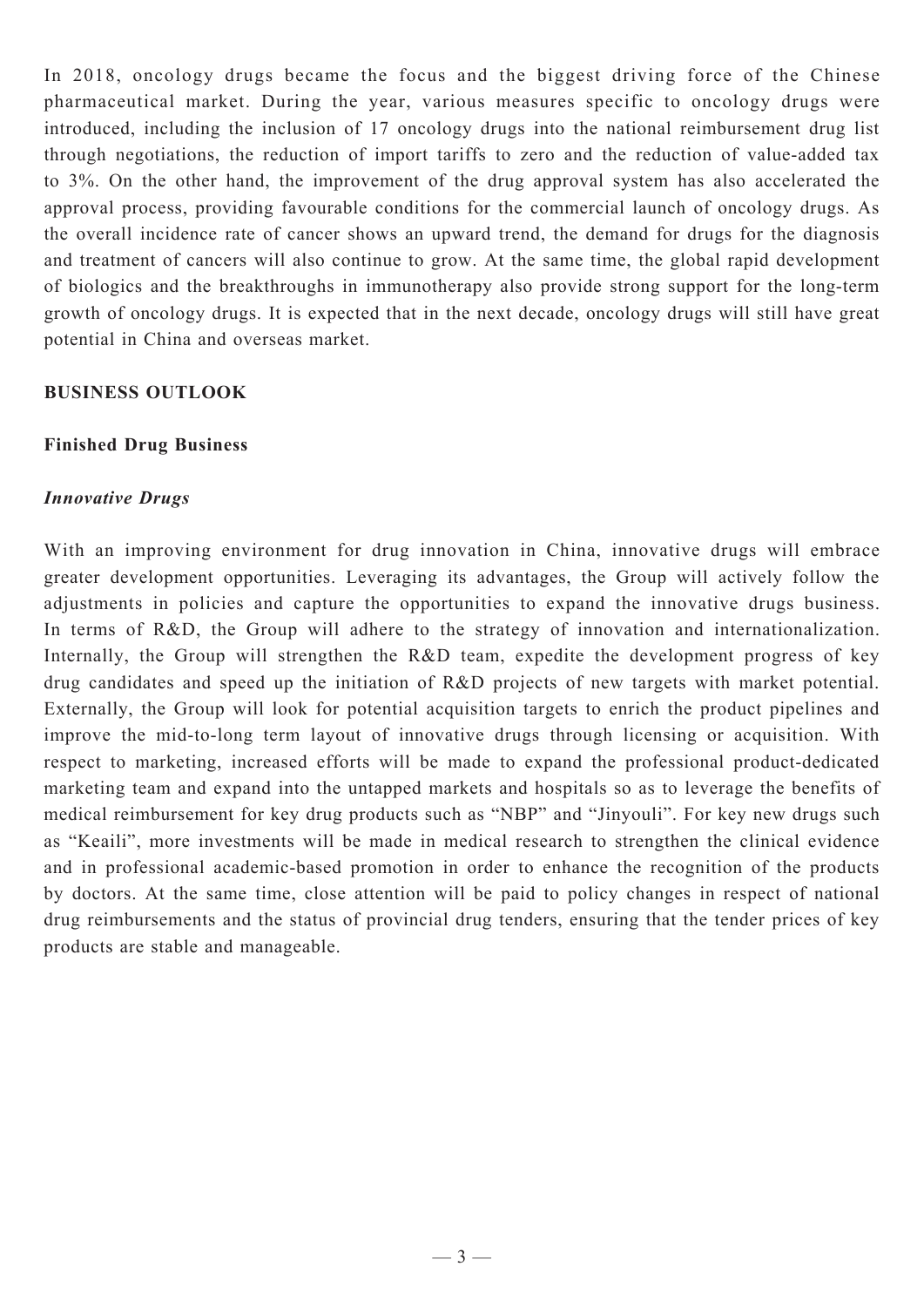In 2018, oncology drugs became the focus and the biggest driving force of the Chinese pharmaceutical market. During the year, various measures specific to oncology drugs were introduced, including the inclusion of 17 oncology drugs into the national reimbursement drug list through negotiations, the reduction of import tariffs to zero and the reduction of value-added tax to 3%. On the other hand, the improvement of the drug approval system has also accelerated the approval process, providing favourable conditions for the commercial launch of oncology drugs. As the overall incidence rate of cancer shows an upward trend, the demand for drugs for the diagnosis and treatment of cancers will also continue to grow. At the same time, the global rapid development of biologics and the breakthroughs in immunotherapy also provide strong support for the long-term growth of oncology drugs. It is expected that in the next decade, oncology drugs will still have great potential in China and overseas market.

# **Business Outlook**

#### **Finished Drug Business**

#### *Innovative Drugs*

With an improving environment for drug innovation in China, innovative drugs will embrace greater development opportunities. Leveraging its advantages, the Group will actively follow the adjustments in policies and capture the opportunities to expand the innovative drugs business. In terms of R&D, the Group will adhere to the strategy of innovation and internationalization. Internally, the Group will strengthen the R&D team, expedite the development progress of key drug candidates and speed up the initiation of R&D projects of new targets with market potential. Externally, the Group will look for potential acquisition targets to enrich the product pipelines and improve the mid-to-long term layout of innovative drugs through licensing or acquisition. With respect to marketing, increased efforts will be made to expand the professional product-dedicated marketing team and expand into the untapped markets and hospitals so as to leverage the benefits of medical reimbursement for key drug products such as "NBP" and "Jinyouli". For key new drugs such as "Keaili", more investments will be made in medical research to strengthen the clinical evidence and in professional academic-based promotion in order to enhance the recognition of the products by doctors. At the same time, close attention will be paid to policy changes in respect of national drug reimbursements and the status of provincial drug tenders, ensuring that the tender prices of key products are stable and manageable.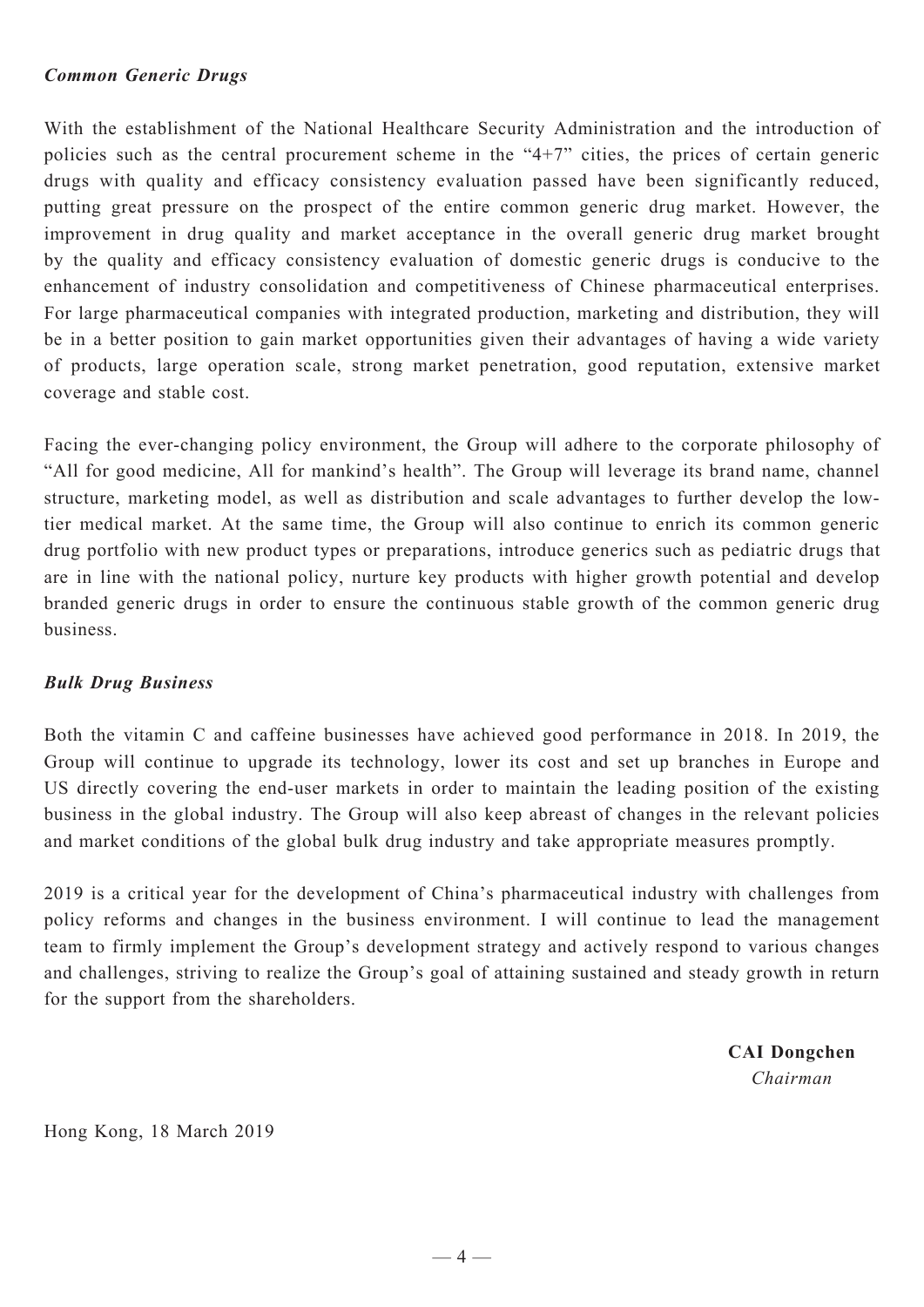#### *Common Generic Drugs*

With the establishment of the National Healthcare Security Administration and the introduction of policies such as the central procurement scheme in the "4+7" cities, the prices of certain generic drugs with quality and efficacy consistency evaluation passed have been significantly reduced, putting great pressure on the prospect of the entire common generic drug market. However, the improvement in drug quality and market acceptance in the overall generic drug market brought by the quality and efficacy consistency evaluation of domestic generic drugs is conducive to the enhancement of industry consolidation and competitiveness of Chinese pharmaceutical enterprises. For large pharmaceutical companies with integrated production, marketing and distribution, they will be in a better position to gain market opportunities given their advantages of having a wide variety of products, large operation scale, strong market penetration, good reputation, extensive market coverage and stable cost.

Facing the ever-changing policy environment, the Group will adhere to the corporate philosophy of "All for good medicine, All for mankind's health". The Group will leverage its brand name, channel structure, marketing model, as well as distribution and scale advantages to further develop the lowtier medical market. At the same time, the Group will also continue to enrich its common generic drug portfolio with new product types or preparations, introduce generics such as pediatric drugs that are in line with the national policy, nurture key products with higher growth potential and develop branded generic drugs in order to ensure the continuous stable growth of the common generic drug business.

# *Bulk Drug Business*

Both the vitamin C and caffeine businesses have achieved good performance in 2018. In 2019, the Group will continue to upgrade its technology, lower its cost and set up branches in Europe and US directly covering the end-user markets in order to maintain the leading position of the existing business in the global industry. The Group will also keep abreast of changes in the relevant policies and market conditions of the global bulk drug industry and take appropriate measures promptly.

2019 is a critical year for the development of China's pharmaceutical industry with challenges from policy reforms and changes in the business environment. I will continue to lead the management team to firmly implement the Group's development strategy and actively respond to various changes and challenges, striving to realize the Group's goal of attaining sustained and steady growth in return for the support from the shareholders.

> **CAI Dongchen** *Chairman*

Hong Kong, 18 March 2019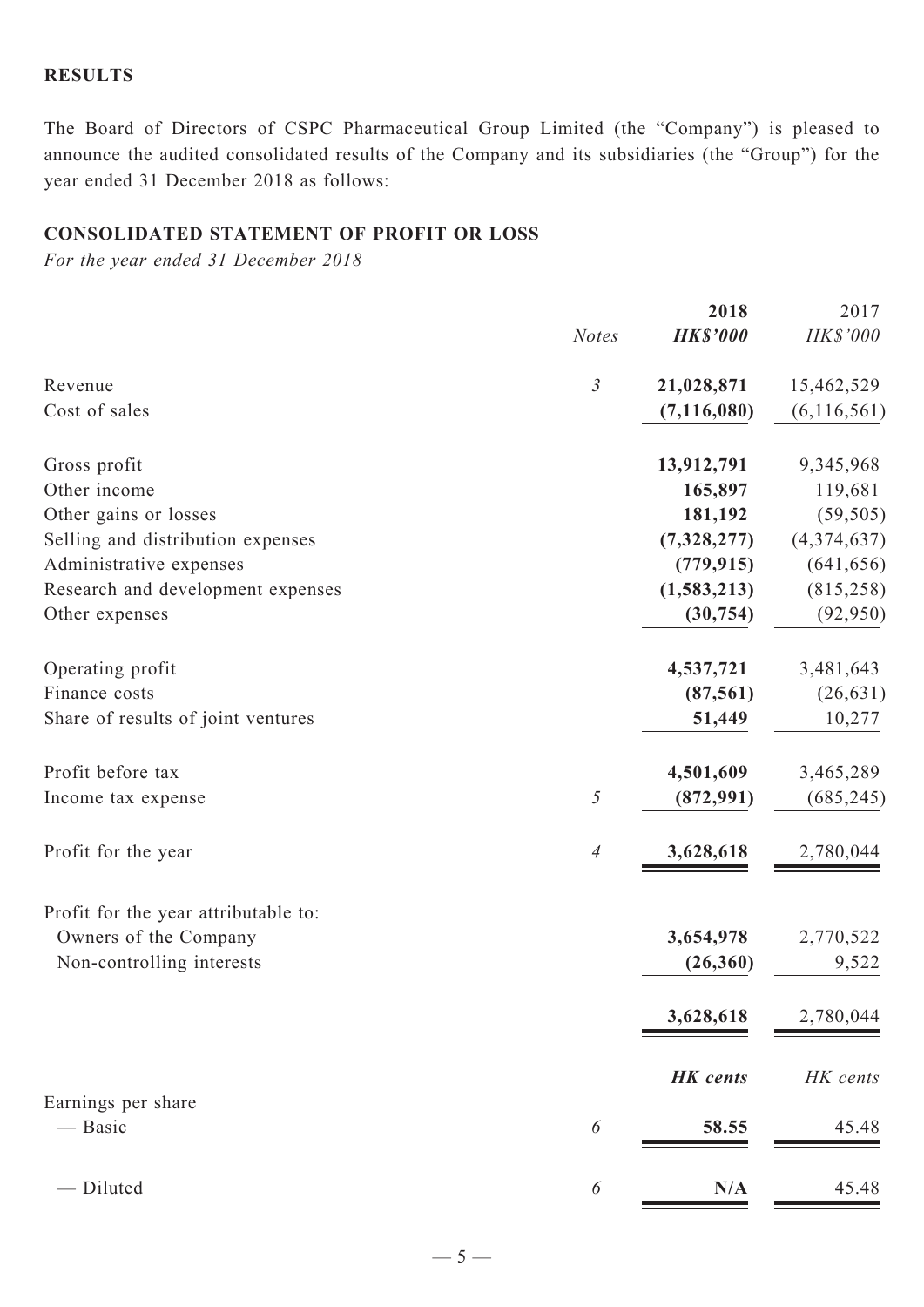### **RESULTS**

The Board of Directors of CSPC Pharmaceutical Group Limited (the "Company") is pleased to announce the audited consolidated results of the Company and its subsidiaries (the "Group") for the year ended 31 December 2018 as follows:

# **CONSOLIDATED STATEMENT OF profit or loss**

*For the year ended 31 December 2018*

|                                      |                | 2018            | 2017          |
|--------------------------------------|----------------|-----------------|---------------|
|                                      | <b>Notes</b>   | <b>HK\$'000</b> | HK\$'000      |
| Revenue                              | $\mathfrak{Z}$ | 21,028,871      | 15,462,529    |
| Cost of sales                        |                | (7, 116, 080)   | (6, 116, 561) |
| Gross profit                         |                | 13,912,791      | 9,345,968     |
| Other income                         |                | 165,897         | 119,681       |
| Other gains or losses                |                | 181,192         | (59, 505)     |
| Selling and distribution expenses    |                | (7,328,277)     | (4,374,637)   |
| Administrative expenses              |                | (779, 915)      | (641, 656)    |
| Research and development expenses    |                | (1, 583, 213)   | (815, 258)    |
| Other expenses                       |                | (30, 754)       | (92, 950)     |
| Operating profit                     |                | 4,537,721       | 3,481,643     |
| Finance costs                        |                | (87, 561)       | (26, 631)     |
| Share of results of joint ventures   |                | 51,449          | 10,277        |
| Profit before tax                    |                | 4,501,609       | 3,465,289     |
| Income tax expense                   | $\sqrt{2}$     | (872, 991)      | (685, 245)    |
| Profit for the year                  | $\overline{4}$ | 3,628,618       | 2,780,044     |
| Profit for the year attributable to: |                |                 |               |
| Owners of the Company                |                | 3,654,978       | 2,770,522     |
| Non-controlling interests            |                | (26, 360)       | 9,522         |
|                                      |                | 3,628,618       | 2,780,044     |
|                                      |                | <b>HK</b> cents | HK cents      |
| Earnings per share                   |                |                 |               |
| — Basic                              | 6              | 58.55           | 45.48         |
| - Diluted                            | 6              | N/A             | 45.48         |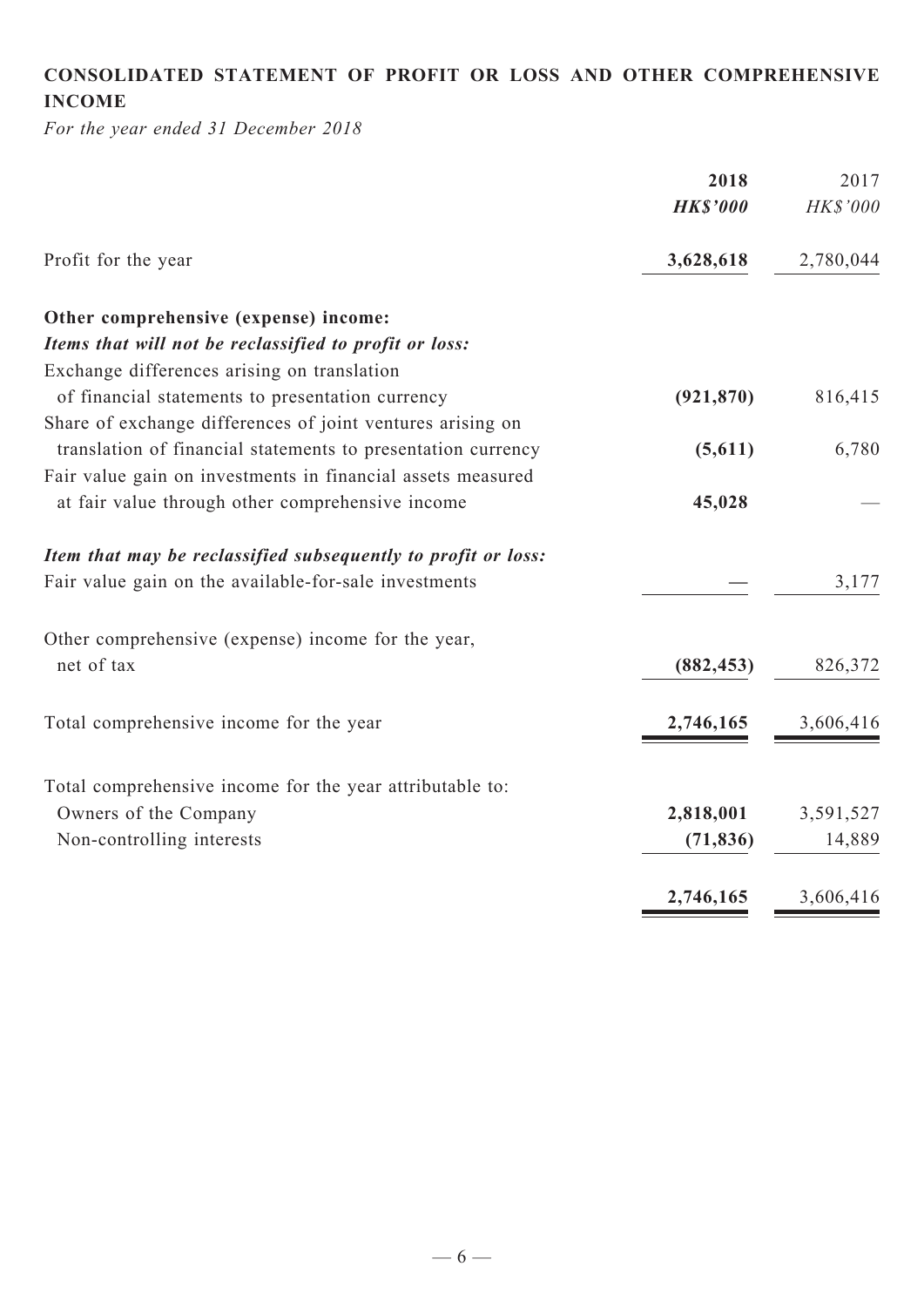# **CONSOLIDATED STATEMENT OF profit or loss and Other COMPREHENSIVE INCOME**

*For the year ended 31 December 2018*

|                                                               | 2018            | 2017      |
|---------------------------------------------------------------|-----------------|-----------|
|                                                               | <b>HK\$'000</b> | HK\$'000  |
| Profit for the year                                           | 3,628,618       | 2,780,044 |
| Other comprehensive (expense) income:                         |                 |           |
| Items that will not be reclassified to profit or loss:        |                 |           |
| Exchange differences arising on translation                   |                 |           |
| of financial statements to presentation currency              | (921, 870)      | 816,415   |
| Share of exchange differences of joint ventures arising on    |                 |           |
| translation of financial statements to presentation currency  | (5,611)         | 6,780     |
| Fair value gain on investments in financial assets measured   |                 |           |
| at fair value through other comprehensive income              | 45,028          |           |
| Item that may be reclassified subsequently to profit or loss: |                 |           |
| Fair value gain on the available-for-sale investments         |                 | 3,177     |
| Other comprehensive (expense) income for the year,            |                 |           |
| net of tax                                                    | (882, 453)      | 826,372   |
| Total comprehensive income for the year                       | 2,746,165       | 3,606,416 |
|                                                               |                 |           |
| Total comprehensive income for the year attributable to:      |                 |           |
| Owners of the Company                                         | 2,818,001       | 3,591,527 |
| Non-controlling interests                                     | (71, 836)       | 14,889    |
|                                                               | 2,746,165       | 3,606,416 |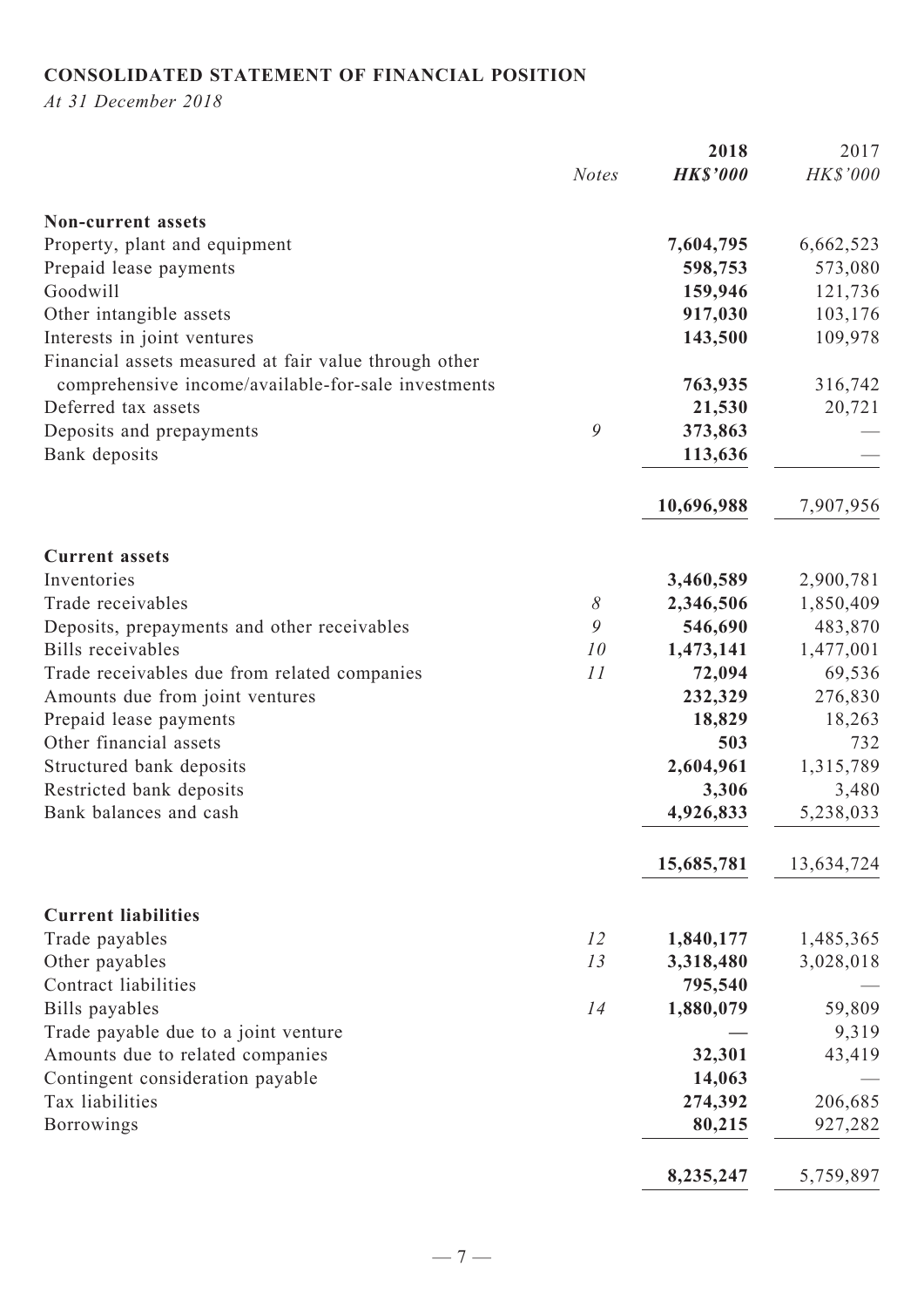# **CONSOLIDATED STATEMENT OF FINANCIAL POSITION**

*At 31 December 2018*

|                                                       |              | 2018            | 2017       |
|-------------------------------------------------------|--------------|-----------------|------------|
|                                                       | <b>Notes</b> | <b>HK\$'000</b> | HK\$'000   |
| <b>Non-current assets</b>                             |              |                 |            |
| Property, plant and equipment                         |              | 7,604,795       | 6,662,523  |
| Prepaid lease payments                                |              | 598,753         | 573,080    |
| Goodwill                                              |              | 159,946         | 121,736    |
| Other intangible assets                               |              | 917,030         | 103,176    |
| Interests in joint ventures                           |              | 143,500         | 109,978    |
| Financial assets measured at fair value through other |              |                 |            |
| comprehensive income/available-for-sale investments   |              | 763,935         | 316,742    |
| Deferred tax assets                                   |              | 21,530          | 20,721     |
| Deposits and prepayments                              | 9            | 373,863         |            |
| Bank deposits                                         |              | 113,636         |            |
|                                                       |              | 10,696,988      | 7,907,956  |
| <b>Current assets</b>                                 |              |                 |            |
| Inventories                                           |              | 3,460,589       | 2,900,781  |
| Trade receivables                                     | 8            | 2,346,506       | 1,850,409  |
| Deposits, prepayments and other receivables           | 9            | 546,690         | 483,870    |
| Bills receivables                                     | 10           | 1,473,141       | 1,477,001  |
| Trade receivables due from related companies          | 11           | 72,094          | 69,536     |
| Amounts due from joint ventures                       |              | 232,329         | 276,830    |
| Prepaid lease payments                                |              | 18,829          | 18,263     |
| Other financial assets                                |              | 503             | 732        |
| Structured bank deposits                              |              | 2,604,961       | 1,315,789  |
| Restricted bank deposits                              |              | 3,306           | 3,480      |
| Bank balances and cash                                |              | 4,926,833       | 5,238,033  |
|                                                       |              | 15,685,781      | 13,634,724 |
| <b>Current liabilities</b>                            |              |                 |            |
| Trade payables                                        | 12           | 1,840,177       | 1,485,365  |
| Other payables                                        | 13           | 3,318,480       | 3,028,018  |
| Contract liabilities                                  |              | 795,540         |            |
| Bills payables                                        | 14           | 1,880,079       | 59,809     |
| Trade payable due to a joint venture                  |              |                 | 9,319      |
| Amounts due to related companies                      |              | 32,301          | 43,419     |
| Contingent consideration payable                      |              | 14,063          |            |
| Tax liabilities                                       |              | 274,392         | 206,685    |
| <b>Borrowings</b>                                     |              | 80,215          | 927,282    |
|                                                       |              | 8,235,247       | 5,759,897  |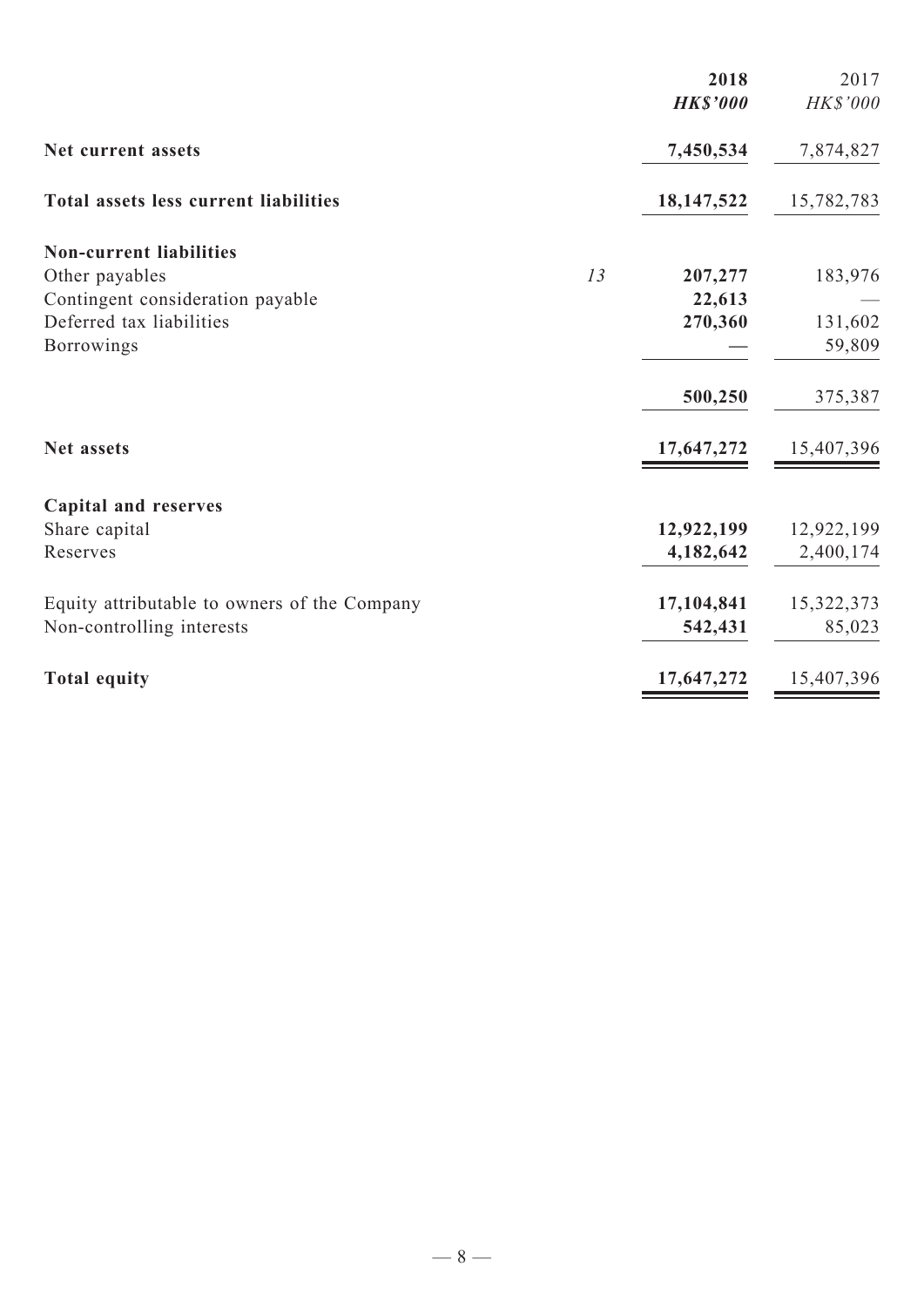|                                              |    | 2018<br><b>HK\$'000</b> | 2017<br>HK\$'000 |
|----------------------------------------------|----|-------------------------|------------------|
| Net current assets                           |    | 7,450,534               | 7,874,827        |
| <b>Total assets less current liabilities</b> |    | 18,147,522              | 15,782,783       |
| <b>Non-current liabilities</b>               |    |                         |                  |
| Other payables                               | 13 | 207,277                 | 183,976          |
| Contingent consideration payable             |    | 22,613                  |                  |
| Deferred tax liabilities                     |    | 270,360                 | 131,602          |
| <b>Borrowings</b>                            |    |                         | 59,809           |
|                                              |    | 500,250                 | 375,387          |
| <b>Net assets</b>                            |    | 17,647,272              | 15,407,396       |
| <b>Capital and reserves</b>                  |    |                         |                  |
| Share capital                                |    | 12,922,199              | 12,922,199       |
| Reserves                                     |    | 4,182,642               | 2,400,174        |
| Equity attributable to owners of the Company |    | 17,104,841              | 15,322,373       |
| Non-controlling interests                    |    | 542,431                 | 85,023           |
| <b>Total equity</b>                          |    | 17,647,272              | 15,407,396       |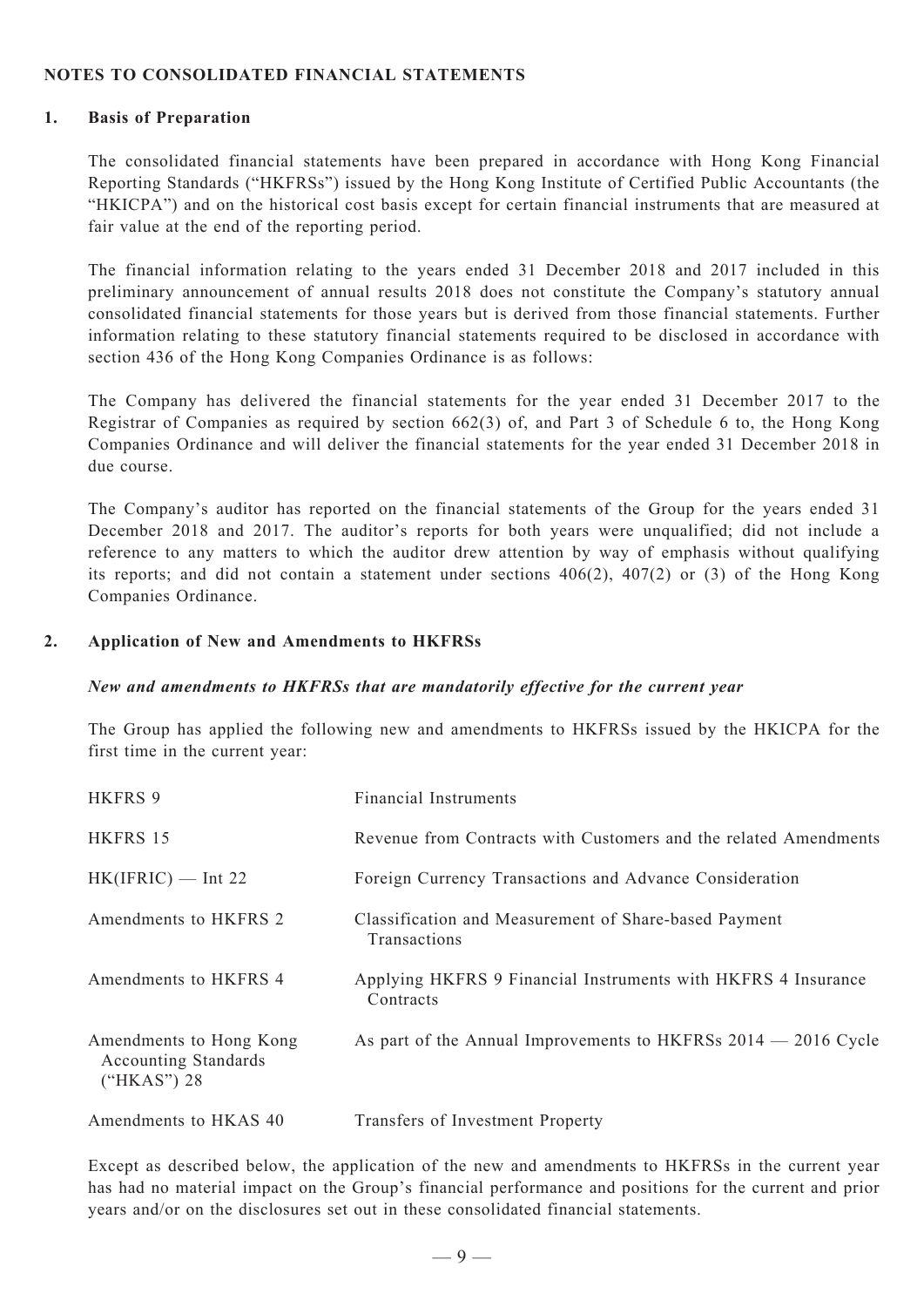#### **NOTES TO consolidated FINANCIAL STATEMENTS**

#### **1. Basis of Preparation**

The consolidated financial statements have been prepared in accordance with Hong Kong Financial Reporting Standards ("HKFRSs") issued by the Hong Kong Institute of Certified Public Accountants (the "HKICPA") and on the historical cost basis except for certain financial instruments that are measured at fair value at the end of the reporting period.

The financial information relating to the years ended 31 December 2018 and 2017 included in this preliminary announcement of annual results 2018 does not constitute the Company's statutory annual consolidated financial statements for those years but is derived from those financial statements. Further information relating to these statutory financial statements required to be disclosed in accordance with section 436 of the Hong Kong Companies Ordinance is as follows:

The Company has delivered the financial statements for the year ended 31 December 2017 to the Registrar of Companies as required by section 662(3) of, and Part 3 of Schedule 6 to, the Hong Kong Companies Ordinance and will deliver the financial statements for the year ended 31 December 2018 in due course.

The Company's auditor has reported on the financial statements of the Group for the years ended 31 December 2018 and 2017. The auditor's reports for both years were unqualified; did not include a reference to any matters to which the auditor drew attention by way of emphasis without qualifying its reports; and did not contain a statement under sections 406(2), 407(2) or (3) of the Hong Kong Companies Ordinance.

#### **2. Application of New and Amendments to HKFRSs**

#### *New and amendments to HKFRSs that are mandatorily effective for the current year*

The Group has applied the following new and amendments to HKFRSs issued by the HKICPA for the first time in the current year:

| HKFRS 9                                                                 | <b>Financial Instruments</b>                                               |
|-------------------------------------------------------------------------|----------------------------------------------------------------------------|
| HKFRS 15                                                                | Revenue from Contracts with Customers and the related Amendments           |
| $HK(IFRIC)$ — Int 22                                                    | Foreign Currency Transactions and Advance Consideration                    |
| Amendments to HKFRS 2                                                   | Classification and Measurement of Share-based Payment<br>Transactions      |
| Amendments to HKFRS 4                                                   | Applying HKFRS 9 Financial Instruments with HKFRS 4 Insurance<br>Contracts |
| Amendments to Hong Kong<br><b>Accounting Standards</b><br>$("HKAS")$ 28 | As part of the Annual Improvements to HKFRSs 2014 – 2016 Cycle             |
| Amendments to HKAS 40                                                   | Transfers of Investment Property                                           |

Except as described below, the application of the new and amendments to HKFRSs in the current year has had no material impact on the Group's financial performance and positions for the current and prior years and/or on the disclosures set out in these consolidated financial statements.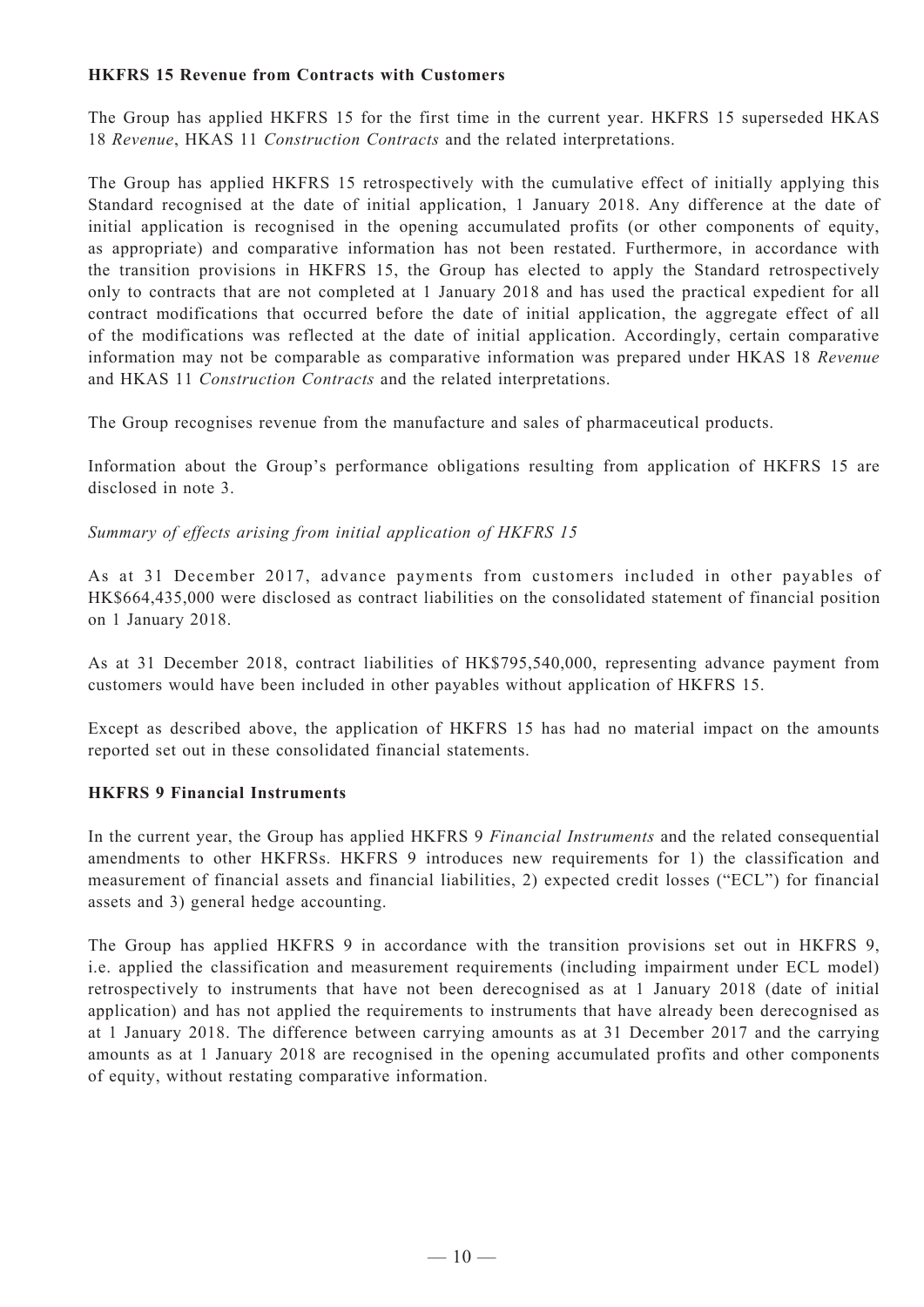#### **HKFRS 15 Revenue from Contracts with Customers**

The Group has applied HKFRS 15 for the first time in the current year. HKFRS 15 superseded HKAS 18 *Revenue*, HKAS 11 *Construction Contracts* and the related interpretations.

The Group has applied HKFRS 15 retrospectively with the cumulative effect of initially applying this Standard recognised at the date of initial application, 1 January 2018. Any difference at the date of initial application is recognised in the opening accumulated profits (or other components of equity, as appropriate) and comparative information has not been restated. Furthermore, in accordance with the transition provisions in HKFRS 15, the Group has elected to apply the Standard retrospectively only to contracts that are not completed at 1 January 2018 and has used the practical expedient for all contract modifications that occurred before the date of initial application, the aggregate effect of all of the modifications was reflected at the date of initial application. Accordingly, certain comparative information may not be comparable as comparative information was prepared under HKAS 18 *Revenue* and HKAS 11 *Construction Contracts* and the related interpretations.

The Group recognises revenue from the manufacture and sales of pharmaceutical products.

Information about the Group's performance obligations resulting from application of HKFRS 15 are disclosed in note 3.

*Summary of effects arising from initial application of HKFRS 15*

As at 31 December 2017, advance payments from customers included in other payables of HK\$664,435,000 were disclosed as contract liabilities on the consolidated statement of financial position on 1 January 2018.

As at 31 December 2018, contract liabilities of HK\$795,540,000, representing advance payment from customers would have been included in other payables without application of HKFRS 15.

Except as described above, the application of HKFRS 15 has had no material impact on the amounts reported set out in these consolidated financial statements.

#### **HKFRS 9 Financial Instruments**

In the current year, the Group has applied HKFRS 9 *Financial Instruments* and the related consequential amendments to other HKFRSs. HKFRS 9 introduces new requirements for 1) the classification and measurement of financial assets and financial liabilities, 2) expected credit losses ("ECL") for financial assets and 3) general hedge accounting.

The Group has applied HKFRS 9 in accordance with the transition provisions set out in HKFRS 9, i.e. applied the classification and measurement requirements (including impairment under ECL model) retrospectively to instruments that have not been derecognised as at 1 January 2018 (date of initial application) and has not applied the requirements to instruments that have already been derecognised as at 1 January 2018. The difference between carrying amounts as at 31 December 2017 and the carrying amounts as at 1 January 2018 are recognised in the opening accumulated profits and other components of equity, without restating comparative information.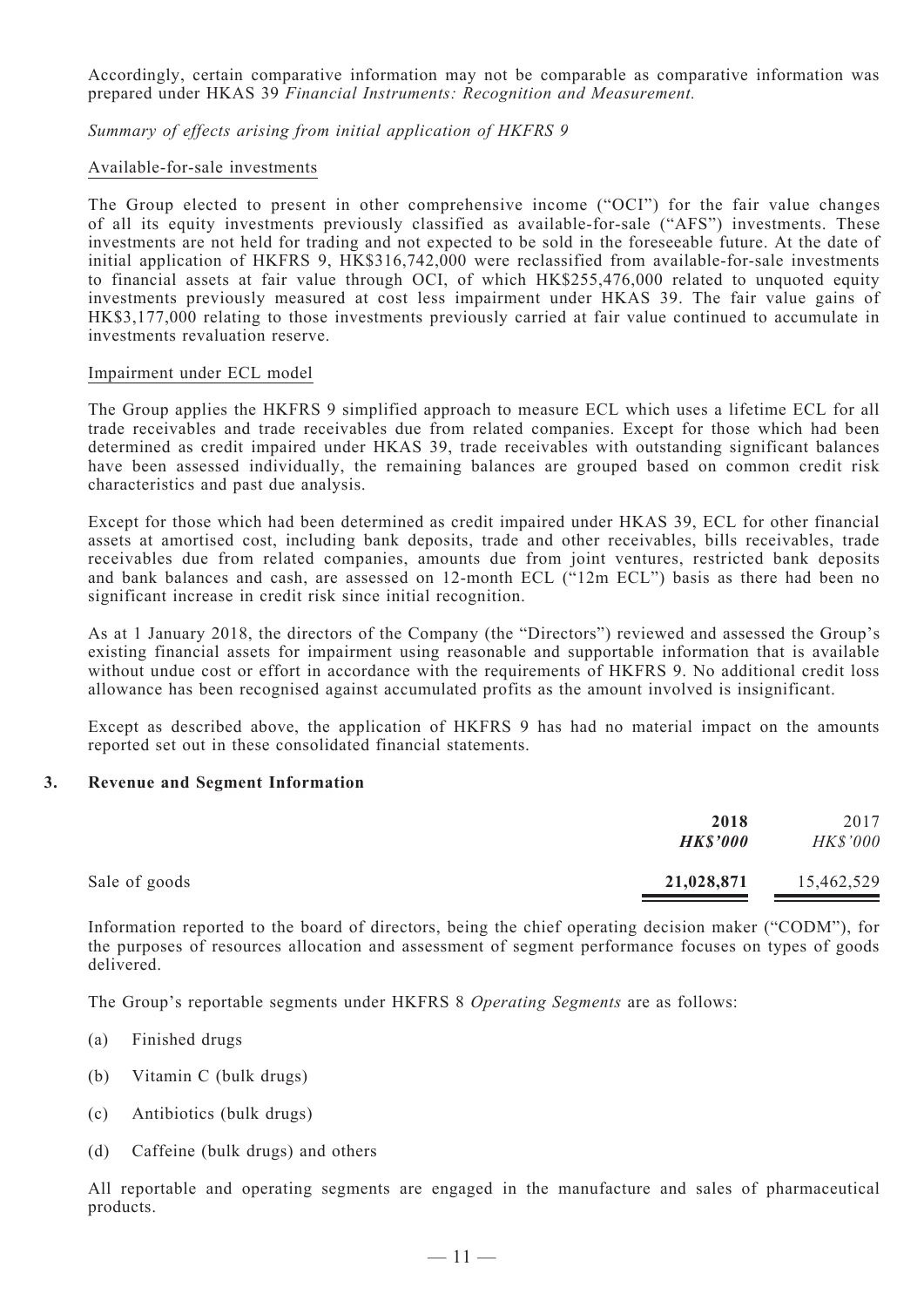Accordingly, certain comparative information may not be comparable as comparative information was prepared under HKAS 39 *Financial Instruments: Recognition and Measurement.*

*Summary of effects arising from initial application of HKFRS 9*

#### Available-for-sale investments

The Group elected to present in other comprehensive income ("OCI") for the fair value changes of all its equity investments previously classified as available-for-sale ("AFS") investments. These investments are not held for trading and not expected to be sold in the foreseeable future. At the date of initial application of HKFRS 9, HK\$316,742,000 were reclassified from available-for-sale investments to financial assets at fair value through OCI, of which HK\$255,476,000 related to unquoted equity investments previously measured at cost less impairment under HKAS 39. The fair value gains of HK\$3,177,000 relating to those investments previously carried at fair value continued to accumulate in investments revaluation reserve.

#### Impairment under ECL model

The Group applies the HKFRS 9 simplified approach to measure ECL which uses a lifetime ECL for all trade receivables and trade receivables due from related companies. Except for those which had been determined as credit impaired under HKAS 39, trade receivables with outstanding significant balances have been assessed individually, the remaining balances are grouped based on common credit risk characteristics and past due analysis.

Except for those which had been determined as credit impaired under HKAS 39, ECL for other financial assets at amortised cost, including bank deposits, trade and other receivables, bills receivables, trade receivables due from related companies, amounts due from joint ventures, restricted bank deposits and bank balances and cash, are assessed on 12-month ECL ("12m ECL") basis as there had been no significant increase in credit risk since initial recognition.

As at 1 January 2018, the directors of the Company (the "Directors") reviewed and assessed the Group's existing financial assets for impairment using reasonable and supportable information that is available without undue cost or effort in accordance with the requirements of HKFRS 9. No additional credit loss allowance has been recognised against accumulated profits as the amount involved is insignificant.

Except as described above, the application of HKFRS 9 has had no material impact on the amounts reported set out in these consolidated financial statements.

#### **3. Revenue and Segment Information**

|               | 2018<br><b>HK\$'000</b> | 2017<br>HK\$'000 |
|---------------|-------------------------|------------------|
| Sale of goods | 21,028,871              | 15,462,529       |

Information reported to the board of directors, being the chief operating decision maker ("CODM"), for the purposes of resources allocation and assessment of segment performance focuses on types of goods delivered.

The Group's reportable segments under HKFRS 8 *Operating Segments* are as follows:

- (a) Finished drugs
- (b) Vitamin C (bulk drugs)
- (c) Antibiotics (bulk drugs)
- (d) Caffeine (bulk drugs) and others

All reportable and operating segments are engaged in the manufacture and sales of pharmaceutical products.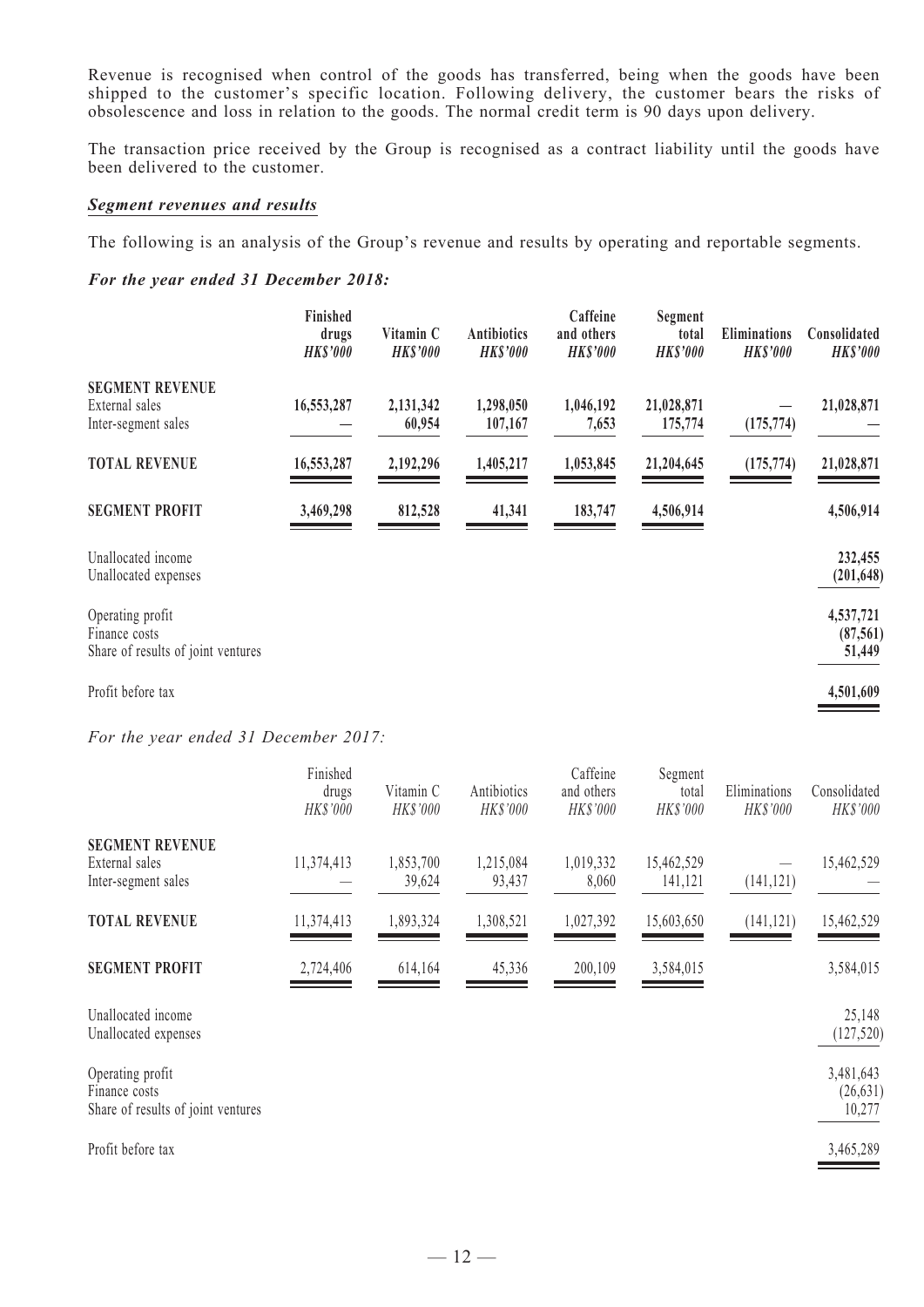Revenue is recognised when control of the goods has transferred, being when the goods have been shipped to the customer's specific location. Following delivery, the customer bears the risks of obsolescence and loss in relation to the goods. The normal credit term is 90 days upon delivery.

The transaction price received by the Group is recognised as a contract liability until the goods have been delivered to the customer.

#### *Segment revenues and results*

The following is an analysis of the Group's revenue and results by operating and reportable segments.

#### *For the year ended 31 December 2018:*

|                                                                         | Finished<br>drugs<br><b>HK\$'000</b> | Vitamin C<br><b>HK\$'000</b> | <b>Antibiotics</b><br><b>HK\$'000</b> | Caffeine<br>and others<br><b>HK\$'000</b> | Segment<br>total<br><b>HK\$'000</b> | <b>Eliminations</b><br><b>HK\$'000</b> | Consolidated<br><b>HK\$'000</b>  |
|-------------------------------------------------------------------------|--------------------------------------|------------------------------|---------------------------------------|-------------------------------------------|-------------------------------------|----------------------------------------|----------------------------------|
| <b>SEGMENT REVENUE</b><br>External sales<br>Inter-segment sales         | 16,553,287                           | 2,131,342<br>60,954          | 1,298,050<br>107,167                  | 1,046,192<br>7,653                        | 21,028,871<br>175,774               | (175, 774)                             | 21,028,871                       |
| <b>TOTAL REVENUE</b>                                                    | 16,553,287                           | 2,192,296                    | 1,405,217                             | 1,053,845                                 | 21,204,645                          | (175, 774)                             | 21,028,871                       |
| <b>SEGMENT PROFIT</b>                                                   | 3,469,298                            | 812,528                      | 41,341                                | 183,747                                   | 4,506,914                           |                                        | 4,506,914                        |
| Unallocated income<br>Unallocated expenses                              |                                      |                              |                                       |                                           |                                     |                                        | 232,455<br>(201, 648)            |
| Operating profit<br>Finance costs<br>Share of results of joint ventures |                                      |                              |                                       |                                           |                                     |                                        | 4,537,721<br>(87, 561)<br>51,449 |
| $\mathbf{r}$ $\alpha$ , $\alpha$                                        |                                      |                              |                                       |                                           |                                     |                                        | $1 - 2 - 2 - 2$                  |

Profit before tax **4,501,609**

*For the year ended 31 December 2017:*

|                                                                         | Finished<br>drugs<br>HK\$'000 | Vitamin C<br>HK\$'000 | Antibiotics<br>HK\$'000 | Caffeine<br>and others<br>HK\$'000 | Segment<br>total<br>HK\$'000 | Eliminations<br>HK\$'000 | Consolidated<br>HK\$'000         |
|-------------------------------------------------------------------------|-------------------------------|-----------------------|-------------------------|------------------------------------|------------------------------|--------------------------|----------------------------------|
| <b>SEGMENT REVENUE</b><br>External sales<br>Inter-segment sales         | 11,374,413                    | 1,853,700<br>39,624   | 1,215,084<br>93,437     | 1,019,332<br>8,060                 | 15,462,529<br>141,121        | (141, 121)               | 15,462,529                       |
| <b>TOTAL REVENUE</b>                                                    | 11,374,413                    | 1,893,324             | 1,308,521               | 1,027,392                          | 15,603,650                   | (141, 121)               | 15,462,529                       |
| <b>SEGMENT PROFIT</b>                                                   | 2,724,406                     | 614,164               | 45,336                  | 200,109                            | 3,584,015                    |                          | 3,584,015                        |
| Unallocated income<br>Unallocated expenses                              |                               |                       |                         |                                    |                              |                          | 25,148<br>(127, 520)             |
| Operating profit<br>Finance costs<br>Share of results of joint ventures |                               |                       |                         |                                    |                              |                          | 3,481,643<br>(26, 631)<br>10,277 |
| Profit before tax                                                       |                               |                       |                         |                                    |                              |                          | 3,465,289                        |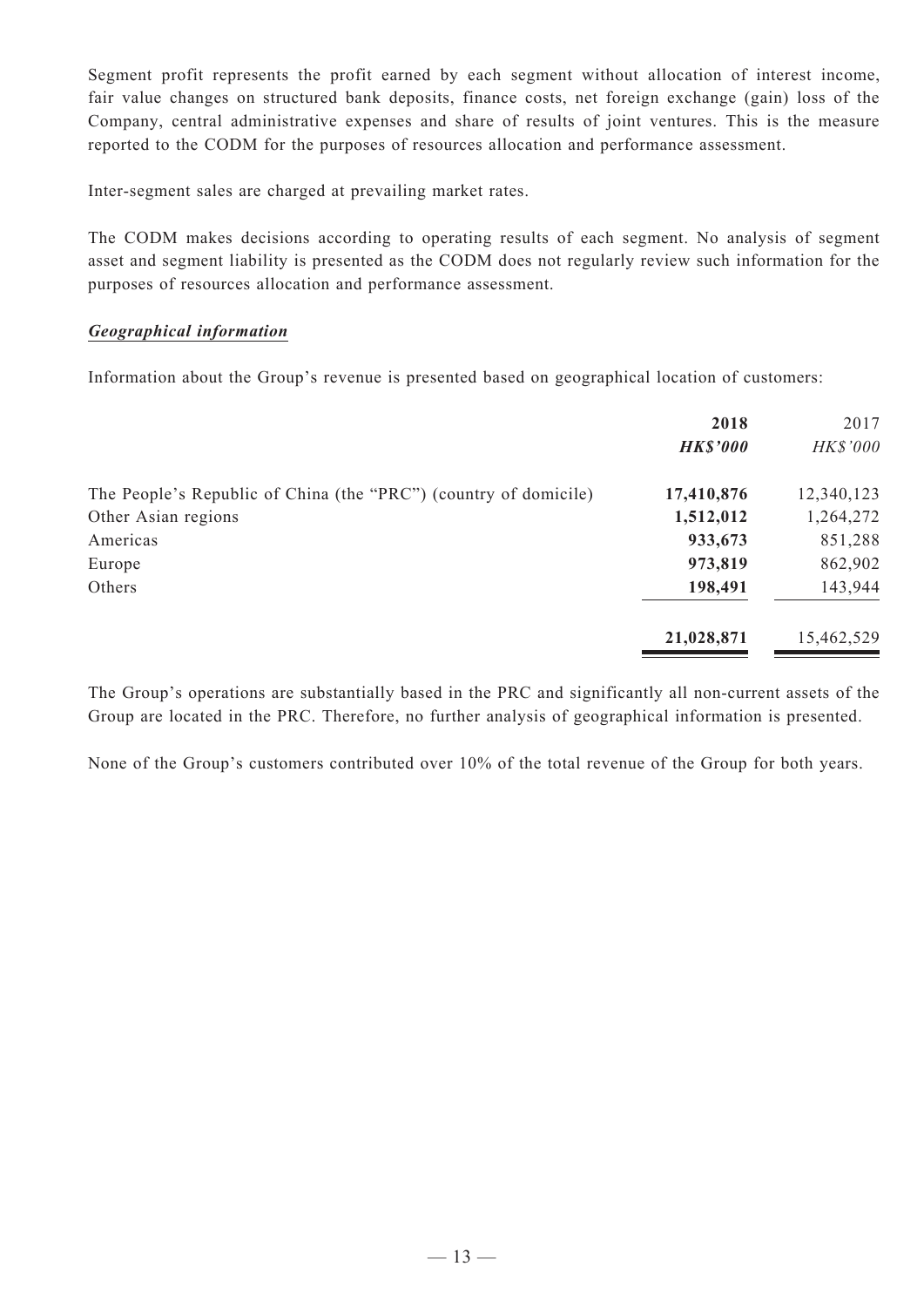Segment profit represents the profit earned by each segment without allocation of interest income, fair value changes on structured bank deposits, finance costs, net foreign exchange (gain) loss of the Company, central administrative expenses and share of results of joint ventures. This is the measure reported to the CODM for the purposes of resources allocation and performance assessment.

Inter-segment sales are charged at prevailing market rates.

The CODM makes decisions according to operating results of each segment. No analysis of segment asset and segment liability is presented as the CODM does not regularly review such information for the purposes of resources allocation and performance assessment.

#### *Geographical information*

Information about the Group's revenue is presented based on geographical location of customers:

|                                                                  | 2018<br><b>HK\$'000</b> | 2017<br>HK\$'000 |
|------------------------------------------------------------------|-------------------------|------------------|
| The People's Republic of China (the "PRC") (country of domicile) | 17,410,876              | 12,340,123       |
| Other Asian regions                                              | 1,512,012               | 1,264,272        |
| Americas                                                         | 933,673                 | 851,288          |
| Europe                                                           | 973,819                 | 862,902          |
| Others                                                           | 198,491                 | 143,944          |
|                                                                  | 21,028,871              | 15,462,529       |

The Group's operations are substantially based in the PRC and significantly all non-current assets of the Group are located in the PRC. Therefore, no further analysis of geographical information is presented.

None of the Group's customers contributed over 10% of the total revenue of the Group for both years.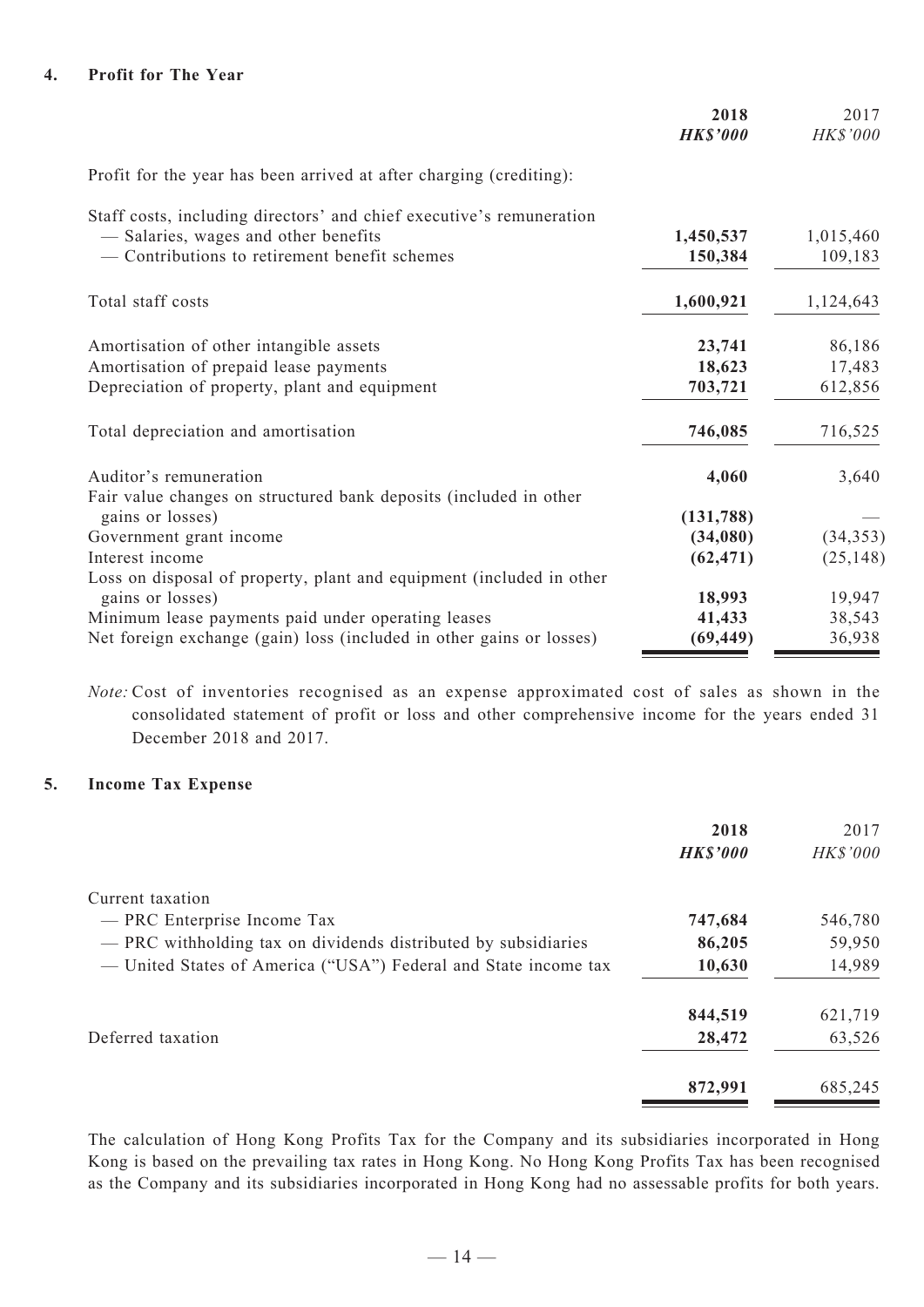|                                                                      | 2018<br><b>HK\$'000</b> | 2017<br>HK\$'000 |
|----------------------------------------------------------------------|-------------------------|------------------|
| Profit for the year has been arrived at after charging (crediting):  |                         |                  |
| Staff costs, including directors' and chief executive's remuneration |                         |                  |
| - Salaries, wages and other benefits                                 | 1,450,537               | 1,015,460        |
| - Contributions to retirement benefit schemes                        | 150,384                 | 109,183          |
| Total staff costs                                                    | 1,600,921               | 1,124,643        |
| Amortisation of other intangible assets                              | 23,741                  | 86,186           |
| Amortisation of prepaid lease payments                               | 18,623                  | 17,483           |
| Depreciation of property, plant and equipment                        | 703,721                 | 612,856          |
| Total depreciation and amortisation                                  | 746,085                 | 716,525          |
| Auditor's remuneration                                               | 4,060                   | 3,640            |
| Fair value changes on structured bank deposits (included in other    |                         |                  |
| gains or losses)                                                     | (131, 788)              |                  |
| Government grant income                                              | (34,080)                | (34, 353)        |
| Interest income                                                      | (62, 471)               | (25, 148)        |
| Loss on disposal of property, plant and equipment (included in other |                         |                  |
| gains or losses)                                                     | 18,993                  | 19,947           |
| Minimum lease payments paid under operating leases                   | 41,433                  | 38,543           |
| Net foreign exchange (gain) loss (included in other gains or losses) | (69, 449)               | 36,938           |

*Note:* Cost of inventories recognised as an expense approximated cost of sales as shown in the consolidated statement of profit or loss and other comprehensive income for the years ended 31 December 2018 and 2017.

# **5. Income Tax Expense**

|                                                                 | 2018            | 2017     |
|-----------------------------------------------------------------|-----------------|----------|
|                                                                 | <b>HK\$'000</b> | HK\$'000 |
| Current taxation                                                |                 |          |
| - PRC Enterprise Income Tax                                     | 747,684         | 546,780  |
| - PRC withholding tax on dividends distributed by subsidiaries  | 86,205          | 59,950   |
| — United States of America ("USA") Federal and State income tax | 10,630          | 14,989   |
|                                                                 | 844,519         | 621,719  |
| Deferred taxation                                               | 28,472          | 63,526   |
|                                                                 | 872,991         | 685,245  |

The calculation of Hong Kong Profits Tax for the Company and its subsidiaries incorporated in Hong Kong is based on the prevailing tax rates in Hong Kong. No Hong Kong Profits Tax has been recognised as the Company and its subsidiaries incorporated in Hong Kong had no assessable profits for both years.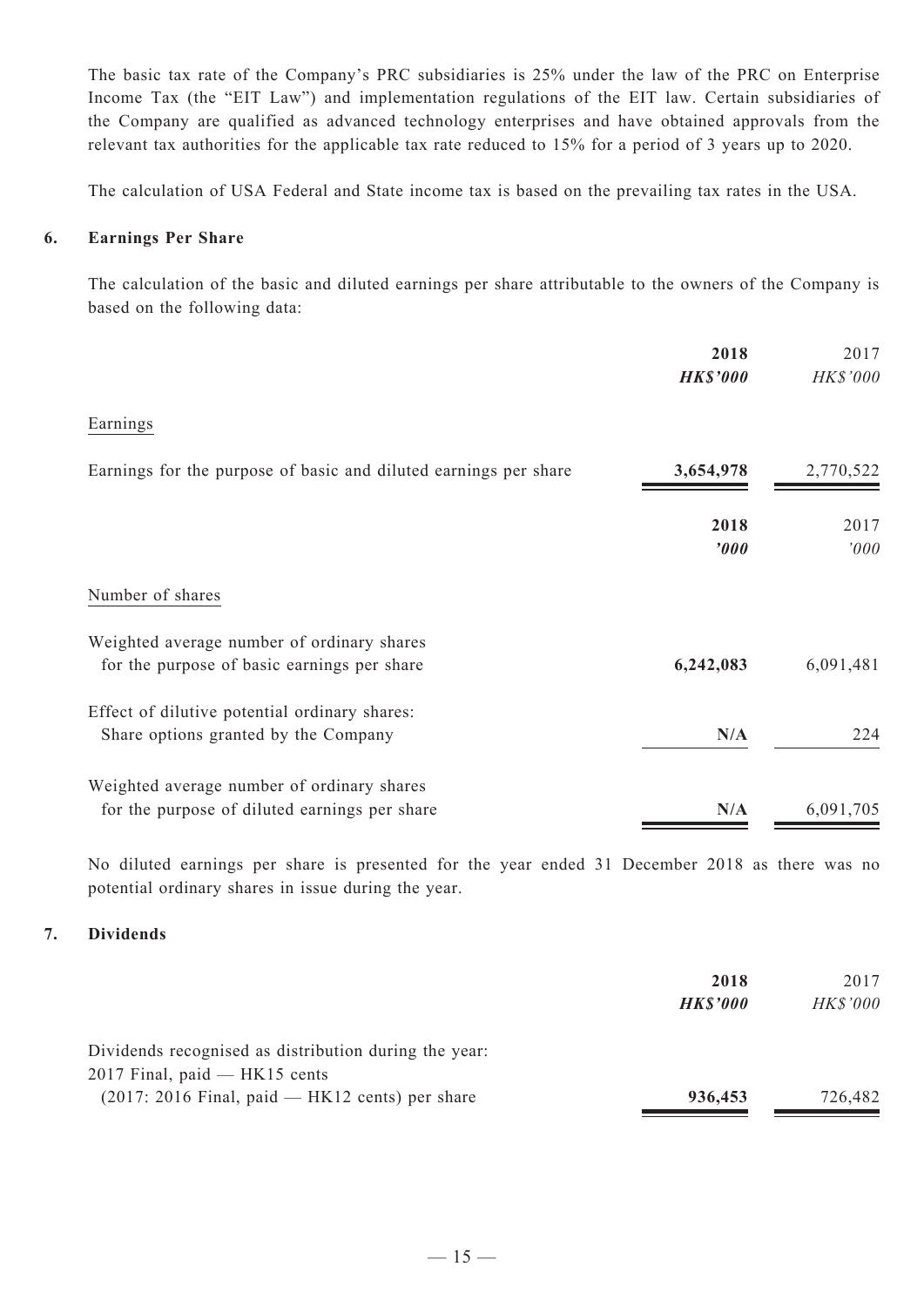The basic tax rate of the Company's PRC subsidiaries is 25% under the law of the PRC on Enterprise Income Tax (the "EIT Law") and implementation regulations of the EIT law. Certain subsidiaries of the Company are qualified as advanced technology enterprises and have obtained approvals from the relevant tax authorities for the applicable tax rate reduced to 15% for a period of 3 years up to 2020.

The calculation of USA Federal and State income tax is based on the prevailing tax rates in the USA.

#### **6. Earnings Per Share**

The calculation of the basic and diluted earnings per share attributable to the owners of the Company is based on the following data:

|                                                                                             | 2018<br><b>HK\$'000</b> | 2017<br>HK\$'000 |
|---------------------------------------------------------------------------------------------|-------------------------|------------------|
| Earnings                                                                                    |                         |                  |
| Earnings for the purpose of basic and diluted earnings per share                            | 3,654,978               | 2,770,522        |
|                                                                                             | 2018<br>'000            | 2017<br>'000     |
| Number of shares                                                                            |                         |                  |
| Weighted average number of ordinary shares<br>for the purpose of basic earnings per share   | 6,242,083               | 6,091,481        |
| Effect of dilutive potential ordinary shares:<br>Share options granted by the Company       | N/A                     | 224              |
| Weighted average number of ordinary shares<br>for the purpose of diluted earnings per share | N/A                     | 6,091,705        |

No diluted earnings per share is presented for the year ended 31 December 2018 as there was no potential ordinary shares in issue during the year.

#### **7. Dividends**

|                                                       | 2018            | 2017            |
|-------------------------------------------------------|-----------------|-----------------|
|                                                       | <b>HK\$'000</b> | <b>HK\$'000</b> |
| Dividends recognised as distribution during the year: |                 |                 |
| $2017$ Final, paid $-$ HK15 cents                     |                 |                 |
| $(2017: 2016$ Final, paid — HK12 cents) per share     | 936,453         | 726,482         |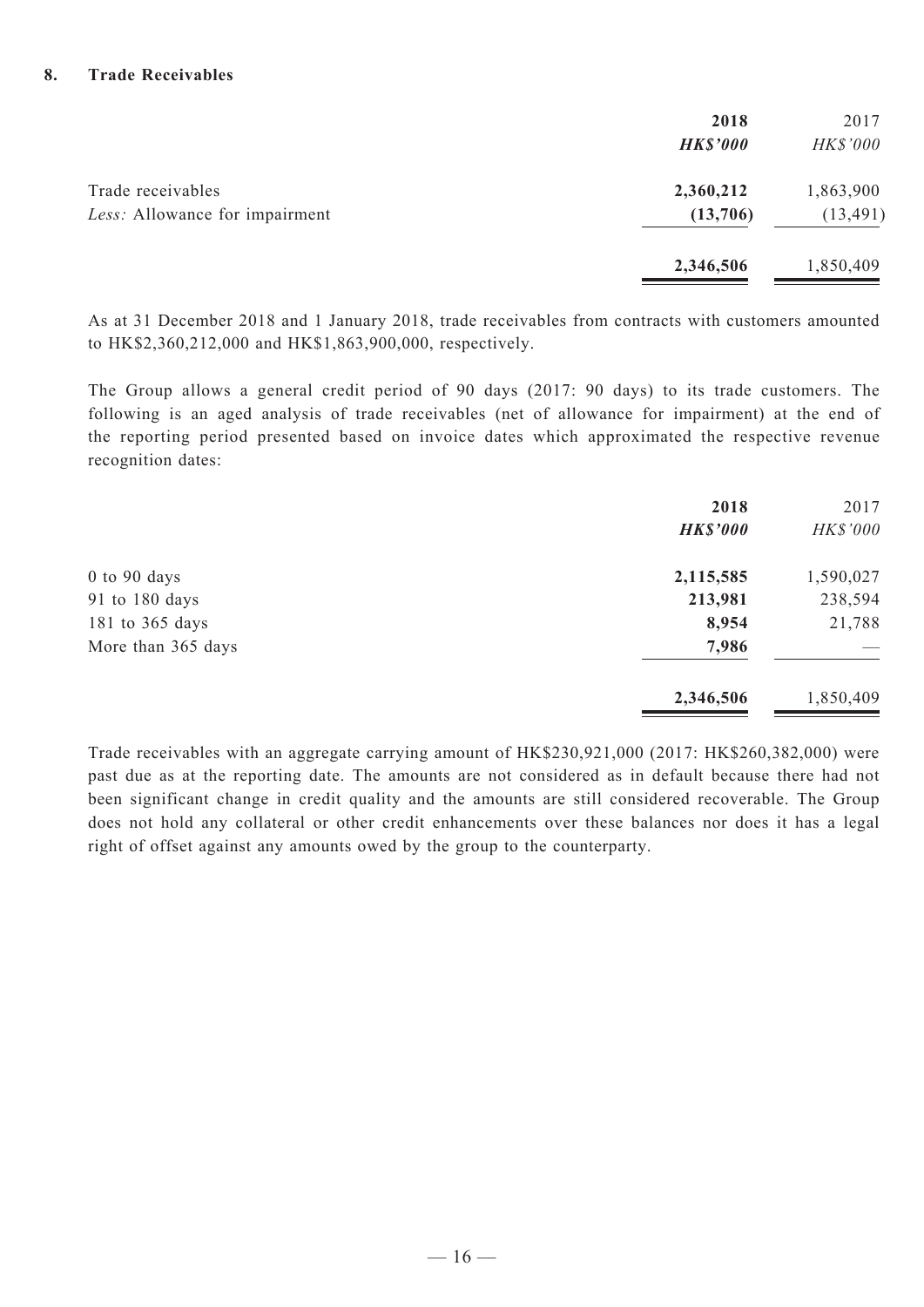#### **8. Trade Receivables**

|                                                     | 2018<br><b>HK\$'000</b> | 2017<br>HK\$'000       |
|-----------------------------------------------------|-------------------------|------------------------|
| Trade receivables<br>Less: Allowance for impairment | 2,360,212<br>(13,706)   | 1,863,900<br>(13, 491) |
|                                                     | 2,346,506               | 1,850,409              |

As at 31 December 2018 and 1 January 2018, trade receivables from contracts with customers amounted to HK\$2,360,212,000 and HK\$1,863,900,000, respectively.

The Group allows a general credit period of 90 days (2017: 90 days) to its trade customers. The following is an aged analysis of trade receivables (net of allowance for impairment) at the end of the reporting period presented based on invoice dates which approximated the respective revenue recognition dates:

|                    | 2018<br><b>HK\$'000</b> | 2017<br>HK\$'000 |
|--------------------|-------------------------|------------------|
| $0$ to $90$ days   | 2,115,585               | 1,590,027        |
| 91 to 180 days     | 213,981                 | 238,594          |
| 181 to 365 days    | 8,954                   | 21,788           |
| More than 365 days | 7,986                   |                  |
|                    | 2,346,506               | 1,850,409        |

Trade receivables with an aggregate carrying amount of HK\$230,921,000 (2017: HK\$260,382,000) were past due as at the reporting date. The amounts are not considered as in default because there had not been significant change in credit quality and the amounts are still considered recoverable. The Group does not hold any collateral or other credit enhancements over these balances nor does it has a legal right of offset against any amounts owed by the group to the counterparty.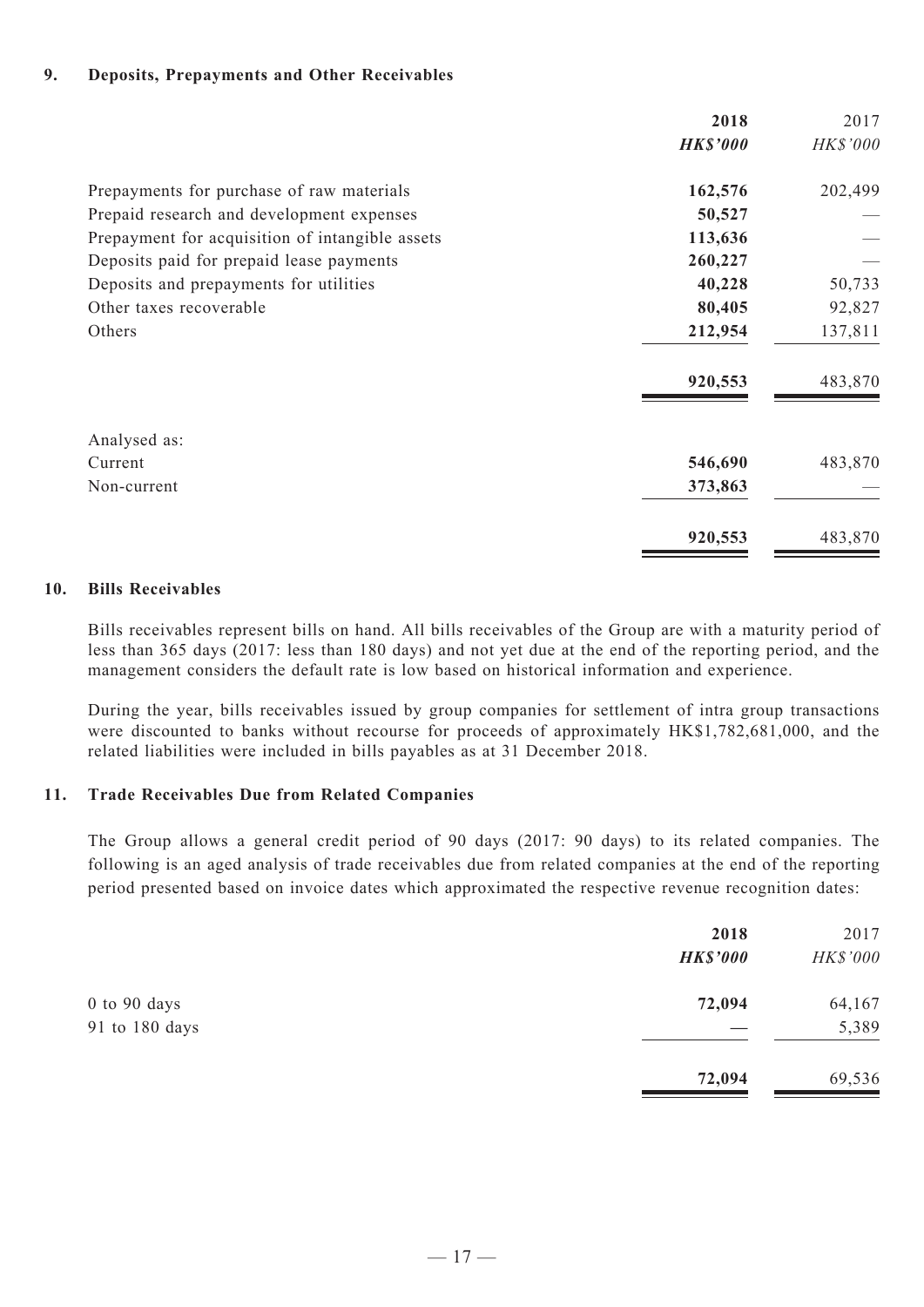#### **9. Deposits, Prepayments and Other Receivables**

|                                                 | 2018            | 2017     |
|-------------------------------------------------|-----------------|----------|
|                                                 | <b>HK\$'000</b> | HK\$'000 |
| Prepayments for purchase of raw materials       | 162,576         | 202,499  |
| Prepaid research and development expenses       | 50,527          |          |
| Prepayment for acquisition of intangible assets | 113,636         |          |
| Deposits paid for prepaid lease payments        | 260,227         |          |
| Deposits and prepayments for utilities          | 40,228          | 50,733   |
| Other taxes recoverable                         | 80,405          | 92,827   |
| Others                                          | 212,954         | 137,811  |
|                                                 | 920,553         | 483,870  |
| Analysed as:                                    |                 |          |
| Current                                         | 546,690         | 483,870  |
| Non-current                                     | 373,863         |          |
|                                                 | 920,553         | 483,870  |

#### **10. Bills Receivables**

Bills receivables represent bills on hand. All bills receivables of the Group are with a maturity period of less than 365 days (2017: less than 180 days) and not yet due at the end of the reporting period, and the management considers the default rate is low based on historical information and experience.

During the year, bills receivables issued by group companies for settlement of intra group transactions were discounted to banks without recourse for proceeds of approximately HK\$1,782,681,000, and the related liabilities were included in bills payables as at 31 December 2018.

#### **11. Trade Receivables Due from Related Companies**

The Group allows a general credit period of 90 days (2017: 90 days) to its related companies. The following is an aged analysis of trade receivables due from related companies at the end of the reporting period presented based on invoice dates which approximated the respective revenue recognition dates:

|                | 2018<br><b>HK\$'000</b> | 2017<br>HK\$'000 |
|----------------|-------------------------|------------------|
| 0 to 90 days   | 72,094                  | 64,167           |
| 91 to 180 days |                         | 5,389            |
|                | 72,094                  | 69,536           |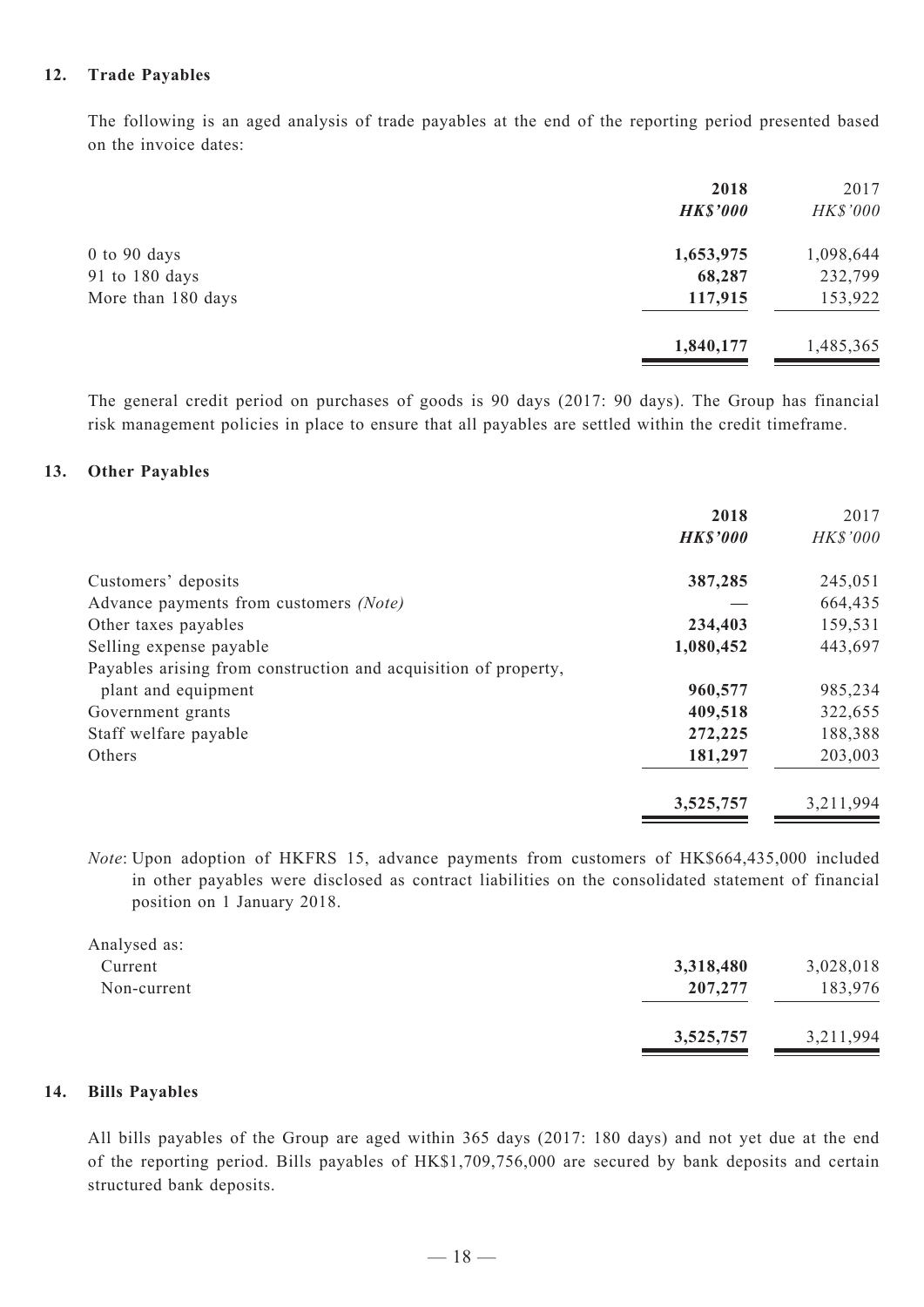#### **12. Trade Payables**

The following is an aged analysis of trade payables at the end of the reporting period presented based on the invoice dates:

|                    | 2018            | 2017      |
|--------------------|-----------------|-----------|
|                    | <b>HK\$'000</b> | HK\$'000  |
| $0$ to $90$ days   | 1,653,975       | 1,098,644 |
| 91 to 180 days     | 68,287          | 232,799   |
| More than 180 days | 117,915         | 153,922   |
|                    | 1,840,177       | 1,485,365 |

The general credit period on purchases of goods is 90 days (2017: 90 days). The Group has financial risk management policies in place to ensure that all payables are settled within the credit timeframe.

#### **13. Other Payables**

|                                                                 | 2018            | 2017      |
|-----------------------------------------------------------------|-----------------|-----------|
|                                                                 | <b>HK\$'000</b> | HK\$'000  |
| Customers' deposits                                             | 387,285         | 245,051   |
| Advance payments from customers (Note)                          |                 | 664,435   |
| Other taxes payables                                            | 234,403         | 159,531   |
| Selling expense payable                                         | 1,080,452       | 443,697   |
| Payables arising from construction and acquisition of property, |                 |           |
| plant and equipment                                             | 960,577         | 985,234   |
| Government grants                                               | 409,518         | 322,655   |
| Staff welfare payable                                           | 272,225         | 188,388   |
| Others                                                          | 181,297         | 203,003   |
|                                                                 | 3,525,757       | 3,211,994 |

*Note*: Upon adoption of HKFRS 15, advance payments from customers of HK\$664,435,000 included in other payables were disclosed as contract liabilities on the consolidated statement of financial position on 1 January 2018.

| Analysed as: |           |           |
|--------------|-----------|-----------|
| Current      | 3,318,480 | 3,028,018 |
| Non-current  | 207,277   | 183,976   |
|              | 3,525,757 | 3,211,994 |
|              |           |           |

#### **14. Bills Payables**

All bills payables of the Group are aged within 365 days (2017: 180 days) and not yet due at the end of the reporting period. Bills payables of HK\$1,709,756,000 are secured by bank deposits and certain structured bank deposits.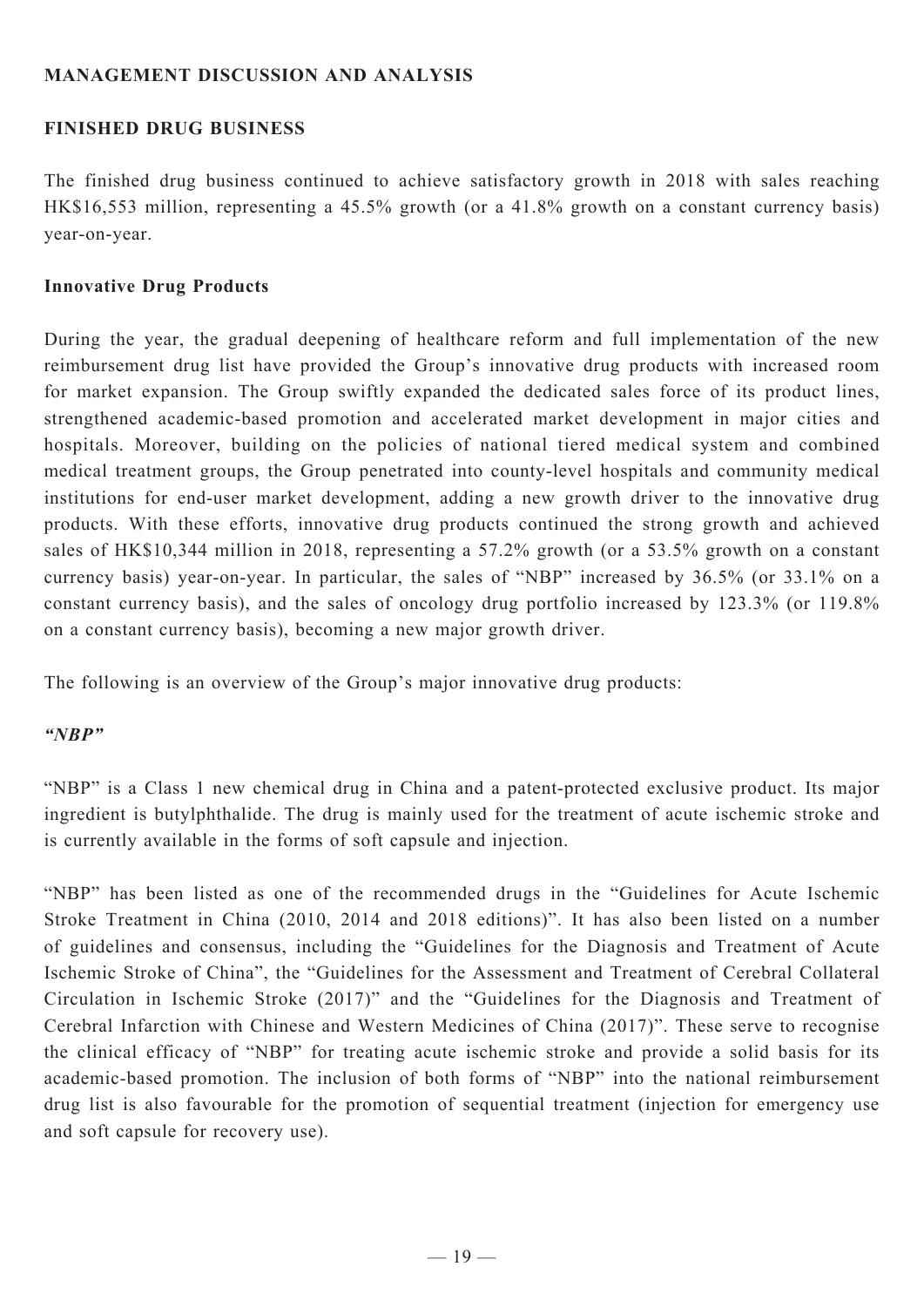# **MANAGEMENT DISCUSSION AND ANALYSIS**

# **FINISHED DRUG BUSINESS**

The finished drug business continued to achieve satisfactory growth in 2018 with sales reaching HK\$16,553 million, representing a 45.5% growth (or a 41.8% growth on a constant currency basis) year-on-year.

# **Innovative Drug Products**

During the year, the gradual deepening of healthcare reform and full implementation of the new reimbursement drug list have provided the Group's innovative drug products with increased room for market expansion. The Group swiftly expanded the dedicated sales force of its product lines, strengthened academic-based promotion and accelerated market development in major cities and hospitals. Moreover, building on the policies of national tiered medical system and combined medical treatment groups, the Group penetrated into county-level hospitals and community medical institutions for end-user market development, adding a new growth driver to the innovative drug products. With these efforts, innovative drug products continued the strong growth and achieved sales of HK\$10,344 million in 2018, representing a 57.2% growth (or a 53.5% growth on a constant currency basis) year-on-year. In particular, the sales of "NBP" increased by 36.5% (or 33.1% on a constant currency basis), and the sales of oncology drug portfolio increased by 123.3% (or 119.8% on a constant currency basis), becoming a new major growth driver.

The following is an overview of the Group's major innovative drug products:

# *"NBP"*

"NBP" is a Class 1 new chemical drug in China and a patent-protected exclusive product. Its major ingredient is butylphthalide. The drug is mainly used for the treatment of acute ischemic stroke and is currently available in the forms of soft capsule and injection.

"NBP" has been listed as one of the recommended drugs in the "Guidelines for Acute Ischemic Stroke Treatment in China (2010, 2014 and 2018 editions)". It has also been listed on a number of guidelines and consensus, including the "Guidelines for the Diagnosis and Treatment of Acute Ischemic Stroke of China", the "Guidelines for the Assessment and Treatment of Cerebral Collateral Circulation in Ischemic Stroke (2017)" and the "Guidelines for the Diagnosis and Treatment of Cerebral Infarction with Chinese and Western Medicines of China (2017)". These serve to recognise the clinical efficacy of "NBP" for treating acute ischemic stroke and provide a solid basis for its academic-based promotion. The inclusion of both forms of "NBP" into the national reimbursement drug list is also favourable for the promotion of sequential treatment (injection for emergency use and soft capsule for recovery use).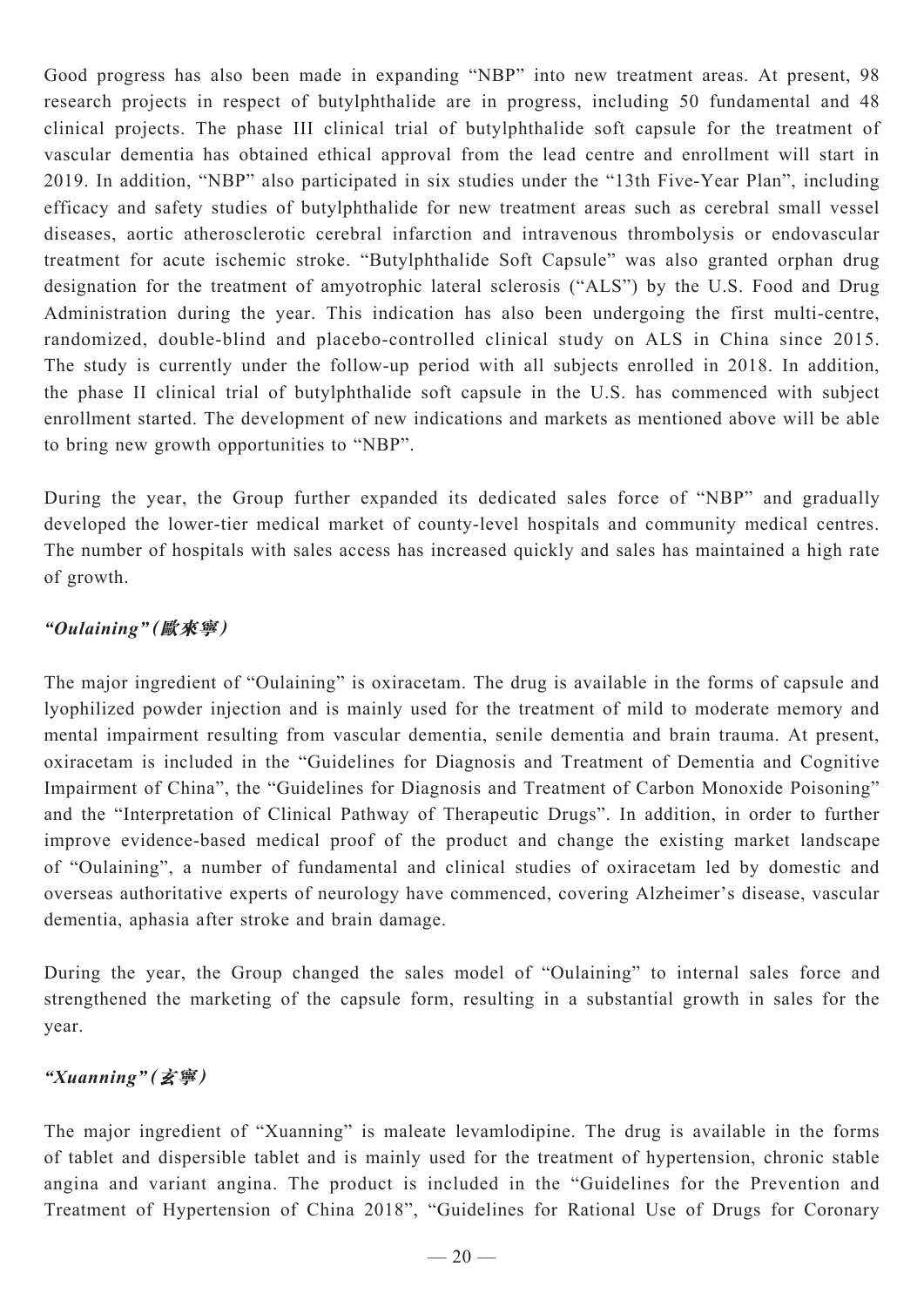Good progress has also been made in expanding "NBP" into new treatment areas. At present, 98 research projects in respect of butylphthalide are in progress, including 50 fundamental and 48 clinical projects. The phase III clinical trial of butylphthalide soft capsule for the treatment of vascular dementia has obtained ethical approval from the lead centre and enrollment will start in 2019. In addition, "NBP" also participated in six studies under the "13th Five-Year Plan", including efficacy and safety studies of butylphthalide for new treatment areas such as cerebral small vessel diseases, aortic atherosclerotic cerebral infarction and intravenous thrombolysis or endovascular treatment for acute ischemic stroke. "Butylphthalide Soft Capsule" was also granted orphan drug designation for the treatment of amyotrophic lateral sclerosis ("ALS") by the U.S. Food and Drug Administration during the year. This indication has also been undergoing the first multi-centre, randomized, double-blind and placebo-controlled clinical study on ALS in China since 2015. The study is currently under the follow-up period with all subjects enrolled in 2018. In addition, the phase II clinical trial of butylphthalide soft capsule in the U.S. has commenced with subject enrollment started. The development of new indications and markets as mentioned above will be able to bring new growth opportunities to "NBP".

During the year, the Group further expanded its dedicated sales force of "NBP" and gradually developed the lower-tier medical market of county-level hospitals and community medical centres. The number of hospitals with sales access has increased quickly and sales has maintained a high rate of growth.

# *"Oulaining"***(歐來寧)**

The major ingredient of "Oulaining" is oxiracetam. The drug is available in the forms of capsule and lyophilized powder injection and is mainly used for the treatment of mild to moderate memory and mental impairment resulting from vascular dementia, senile dementia and brain trauma. At present, oxiracetam is included in the "Guidelines for Diagnosis and Treatment of Dementia and Cognitive Impairment of China", the "Guidelines for Diagnosis and Treatment of Carbon Monoxide Poisoning" and the "Interpretation of Clinical Pathway of Therapeutic Drugs". In addition, in order to further improve evidence-based medical proof of the product and change the existing market landscape of "Oulaining", a number of fundamental and clinical studies of oxiracetam led by domestic and overseas authoritative experts of neurology have commenced, covering Alzheimer's disease, vascular dementia, aphasia after stroke and brain damage.

During the year, the Group changed the sales model of "Oulaining" to internal sales force and strengthened the marketing of the capsule form, resulting in a substantial growth in sales for the year.

# *"Xuanning"***(玄寧)**

The major ingredient of "Xuanning" is maleate levamlodipine. The drug is available in the forms of tablet and dispersible tablet and is mainly used for the treatment of hypertension, chronic stable angina and variant angina. The product is included in the "Guidelines for the Prevention and Treatment of Hypertension of China 2018", "Guidelines for Rational Use of Drugs for Coronary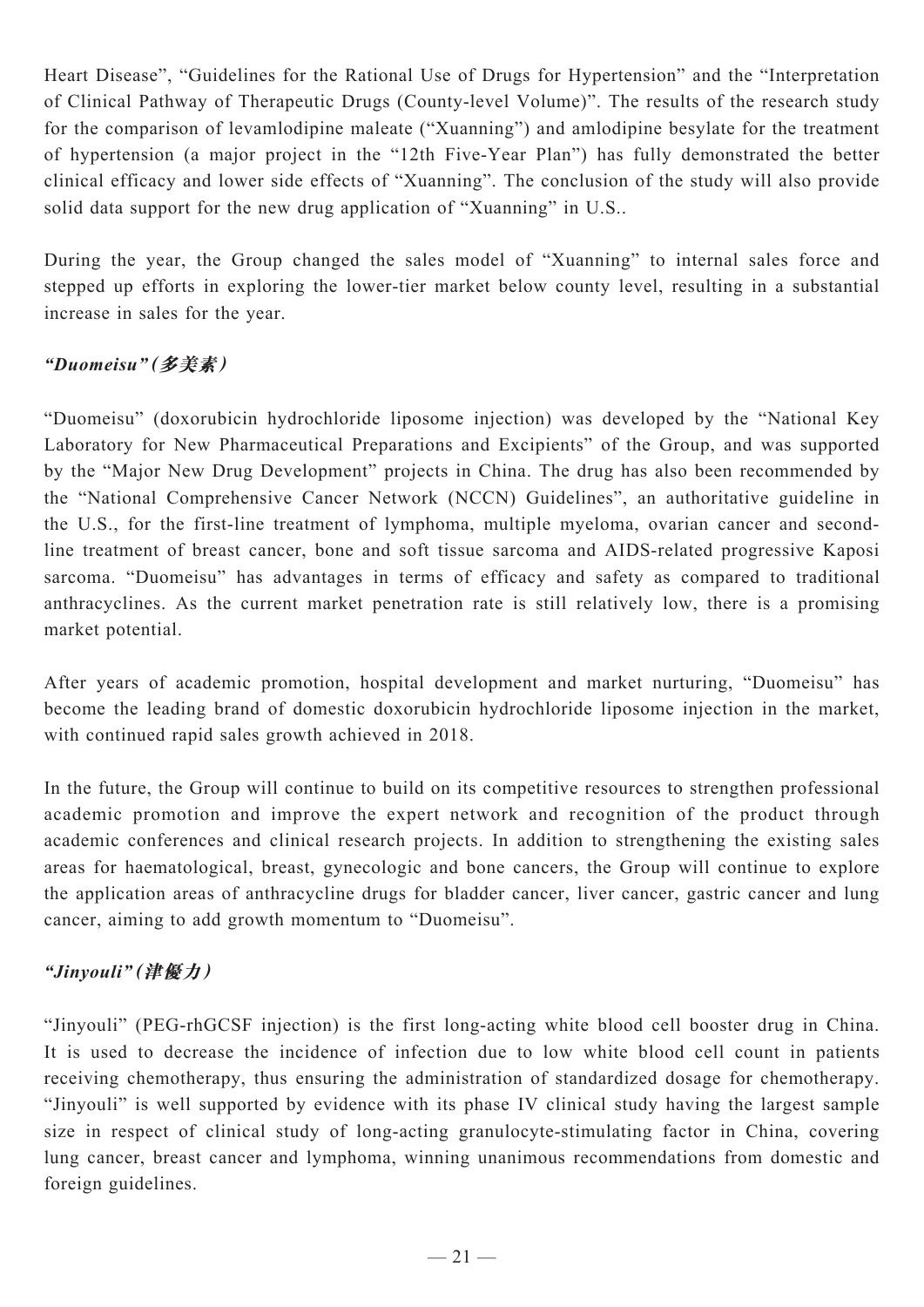Heart Disease", "Guidelines for the Rational Use of Drugs for Hypertension" and the "Interpretation of Clinical Pathway of Therapeutic Drugs (County-level Volume)". The results of the research study for the comparison of levamlodipine maleate ("Xuanning") and amlodipine besylate for the treatment of hypertension (a major project in the "12th Five-Year Plan") has fully demonstrated the better clinical efficacy and lower side effects of "Xuanning". The conclusion of the study will also provide solid data support for the new drug application of "Xuanning" in U.S..

During the year, the Group changed the sales model of "Xuanning" to internal sales force and stepped up efforts in exploring the lower-tier market below county level, resulting in a substantial increase in sales for the year.

# *"Duomeisu"***(多美素)**

"Duomeisu" (doxorubicin hydrochloride liposome injection) was developed by the "National Key Laboratory for New Pharmaceutical Preparations and Excipients" of the Group, and was supported by the "Major New Drug Development" projects in China. The drug has also been recommended by the "National Comprehensive Cancer Network (NCCN) Guidelines", an authoritative guideline in the U.S., for the first-line treatment of lymphoma, multiple myeloma, ovarian cancer and secondline treatment of breast cancer, bone and soft tissue sarcoma and AIDS-related progressive Kaposi sarcoma. "Duomeisu" has advantages in terms of efficacy and safety as compared to traditional anthracyclines. As the current market penetration rate is still relatively low, there is a promising market potential.

After years of academic promotion, hospital development and market nurturing, "Duomeisu" has become the leading brand of domestic doxorubicin hydrochloride liposome injection in the market, with continued rapid sales growth achieved in 2018.

In the future, the Group will continue to build on its competitive resources to strengthen professional academic promotion and improve the expert network and recognition of the product through academic conferences and clinical research projects. In addition to strengthening the existing sales areas for haematological, breast, gynecologic and bone cancers, the Group will continue to explore the application areas of anthracycline drugs for bladder cancer, liver cancer, gastric cancer and lung cancer, aiming to add growth momentum to "Duomeisu".

# *"Jinyouli"***(津優力)**

"Jinyouli" (PEG-rhGCSF injection) is the first long-acting white blood cell booster drug in China. It is used to decrease the incidence of infection due to low white blood cell count in patients receiving chemotherapy, thus ensuring the administration of standardized dosage for chemotherapy. "Jinyouli" is well supported by evidence with its phase IV clinical study having the largest sample size in respect of clinical study of long-acting granulocyte-stimulating factor in China, covering lung cancer, breast cancer and lymphoma, winning unanimous recommendations from domestic and foreign guidelines.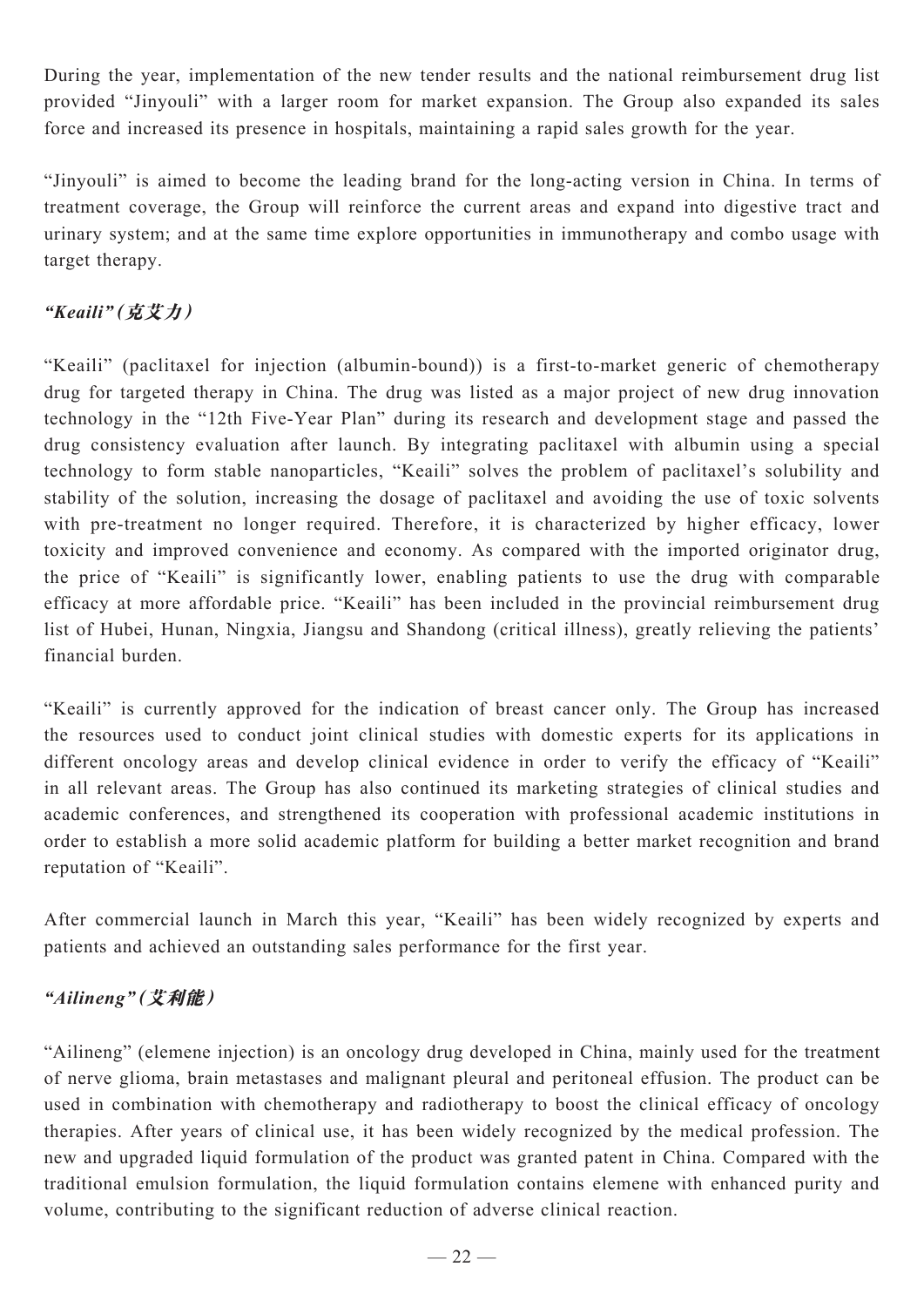During the year, implementation of the new tender results and the national reimbursement drug list provided "Jinyouli" with a larger room for market expansion. The Group also expanded its sales force and increased its presence in hospitals, maintaining a rapid sales growth for the year.

"Jinyouli" is aimed to become the leading brand for the long-acting version in China. In terms of treatment coverage, the Group will reinforce the current areas and expand into digestive tract and urinary system; and at the same time explore opportunities in immunotherapy and combo usage with target therapy.

# *"Keaili"***(克艾力)**

"Keaili" (paclitaxel for injection (albumin-bound)) is a first-to-market generic of chemotherapy drug for targeted therapy in China. The drug was listed as a major project of new drug innovation technology in the "12th Five-Year Plan" during its research and development stage and passed the drug consistency evaluation after launch. By integrating paclitaxel with albumin using a special technology to form stable nanoparticles, "Keaili" solves the problem of paclitaxel's solubility and stability of the solution, increasing the dosage of paclitaxel and avoiding the use of toxic solvents with pre-treatment no longer required. Therefore, it is characterized by higher efficacy, lower toxicity and improved convenience and economy. As compared with the imported originator drug, the price of "Keaili" is significantly lower, enabling patients to use the drug with comparable efficacy at more affordable price. "Keaili" has been included in the provincial reimbursement drug list of Hubei, Hunan, Ningxia, Jiangsu and Shandong (critical illness), greatly relieving the patients' financial burden.

"Keaili" is currently approved for the indication of breast cancer only. The Group has increased the resources used to conduct joint clinical studies with domestic experts for its applications in different oncology areas and develop clinical evidence in order to verify the efficacy of "Keaili" in all relevant areas. The Group has also continued its marketing strategies of clinical studies and academic conferences, and strengthened its cooperation with professional academic institutions in order to establish a more solid academic platform for building a better market recognition and brand reputation of "Keaili".

After commercial launch in March this year, "Keaili" has been widely recognized by experts and patients and achieved an outstanding sales performance for the first year.

# *"Ailineng"***(艾利能)**

"Ailineng" (elemene injection) is an oncology drug developed in China, mainly used for the treatment of nerve glioma, brain metastases and malignant pleural and peritoneal effusion. The product can be used in combination with chemotherapy and radiotherapy to boost the clinical efficacy of oncology therapies. After years of clinical use, it has been widely recognized by the medical profession. The new and upgraded liquid formulation of the product was granted patent in China. Compared with the traditional emulsion formulation, the liquid formulation contains elemene with enhanced purity and volume, contributing to the significant reduction of adverse clinical reaction.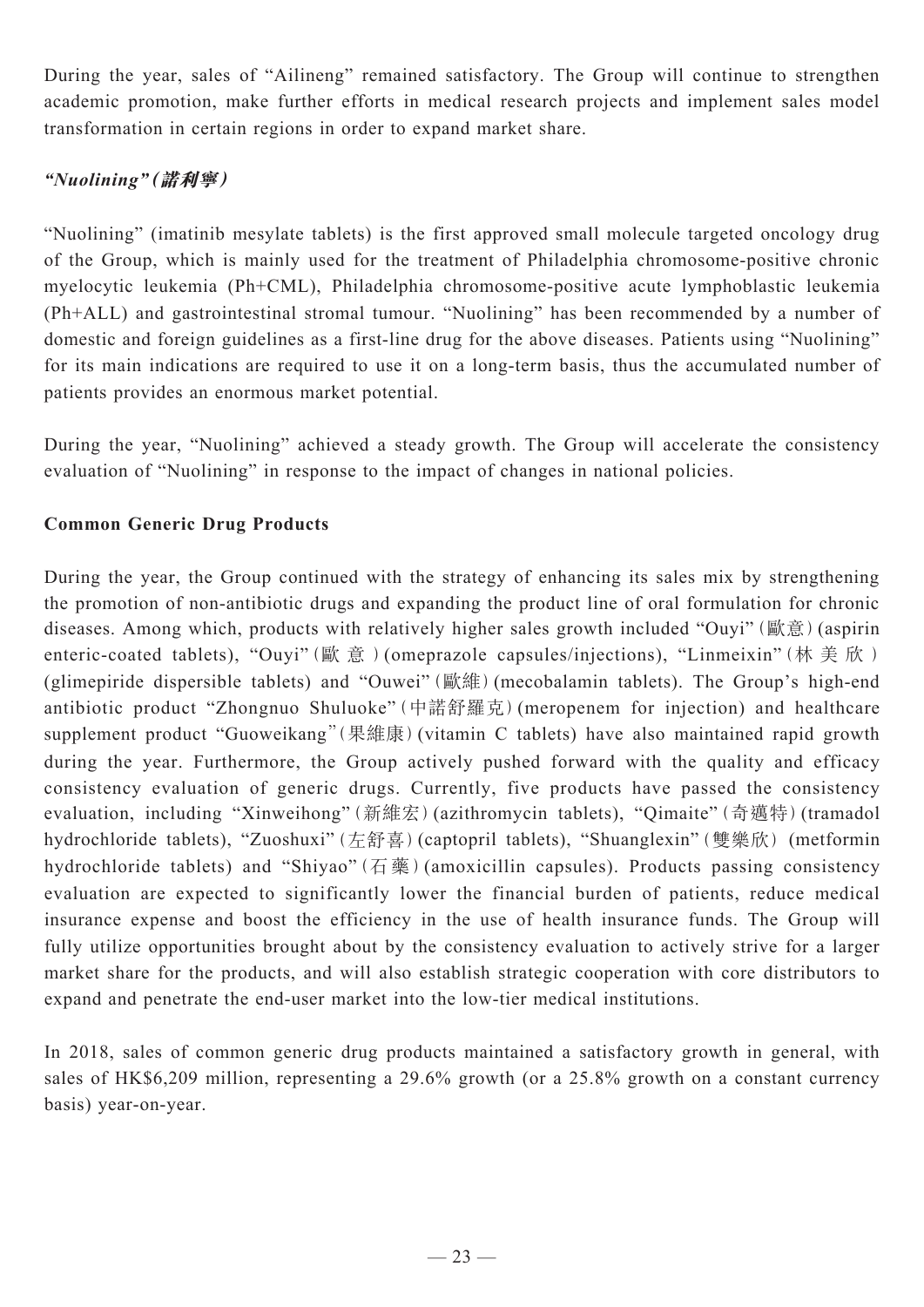During the year, sales of "Ailineng" remained satisfactory. The Group will continue to strengthen academic promotion, make further efforts in medical research projects and implement sales model transformation in certain regions in order to expand market share.

# *"Nuolining"***(諾利寧)**

"Nuolining" (imatinib mesylate tablets) is the first approved small molecule targeted oncology drug of the Group, which is mainly used for the treatment of Philadelphia chromosome-positive chronic myelocytic leukemia (Ph+CML), Philadelphia chromosome-positive acute lymphoblastic leukemia (Ph+ALL) and gastrointestinal stromal tumour. "Nuolining" has been recommended by a number of domestic and foreign guidelines as a first-line drug for the above diseases. Patients using "Nuolining" for its main indications are required to use it on a long-term basis, thus the accumulated number of patients provides an enormous market potential.

During the year, "Nuolining" achieved a steady growth. The Group will accelerate the consistency evaluation of "Nuolining" in response to the impact of changes in national policies.

# **Common Generic Drug Products**

During the year, the Group continued with the strategy of enhancing its sales mix by strengthening the promotion of non-antibiotic drugs and expanding the product line of oral formulation for chronic diseases. Among which, products with relatively higher sales growth included "Ouyi" (歐意) (aspirin enteric-coated tablets), "Ouyi"(歐 意 )(omeprazole capsules/injections), "Linmeixin"(林 美 欣 ) (glimepiride dispersible tablets) and "Ouwei"(歐維)(mecobalamin tablets). The Group's high-end antibiotic product "Zhongnuo Shuluoke"(中諾舒羅克)(meropenem for injection) and healthcare supplement product "Guoweikang"(果維康)(vitamin C tablets) have also maintained rapid growth during the year. Furthermore, the Group actively pushed forward with the quality and efficacy consistency evaluation of generic drugs. Currently, five products have passed the consistency evaluation, including "Xinweihong"(新維宏)(azithromycin tablets), "Qimaite"(奇邁特)(tramadol hydrochloride tablets), "Zuoshuxi"(左舒喜)(captopril tablets), "Shuanglexin"(雙樂欣) (metformin hydrochloride tablets) and "Shiyao" (石藥) (amoxicillin capsules). Products passing consistency evaluation are expected to significantly lower the financial burden of patients, reduce medical insurance expense and boost the efficiency in the use of health insurance funds. The Group will fully utilize opportunities brought about by the consistency evaluation to actively strive for a larger market share for the products, and will also establish strategic cooperation with core distributors to expand and penetrate the end-user market into the low-tier medical institutions.

In 2018, sales of common generic drug products maintained a satisfactory growth in general, with sales of HK\$6,209 million, representing a 29.6% growth (or a 25.8% growth on a constant currency basis) year-on-year.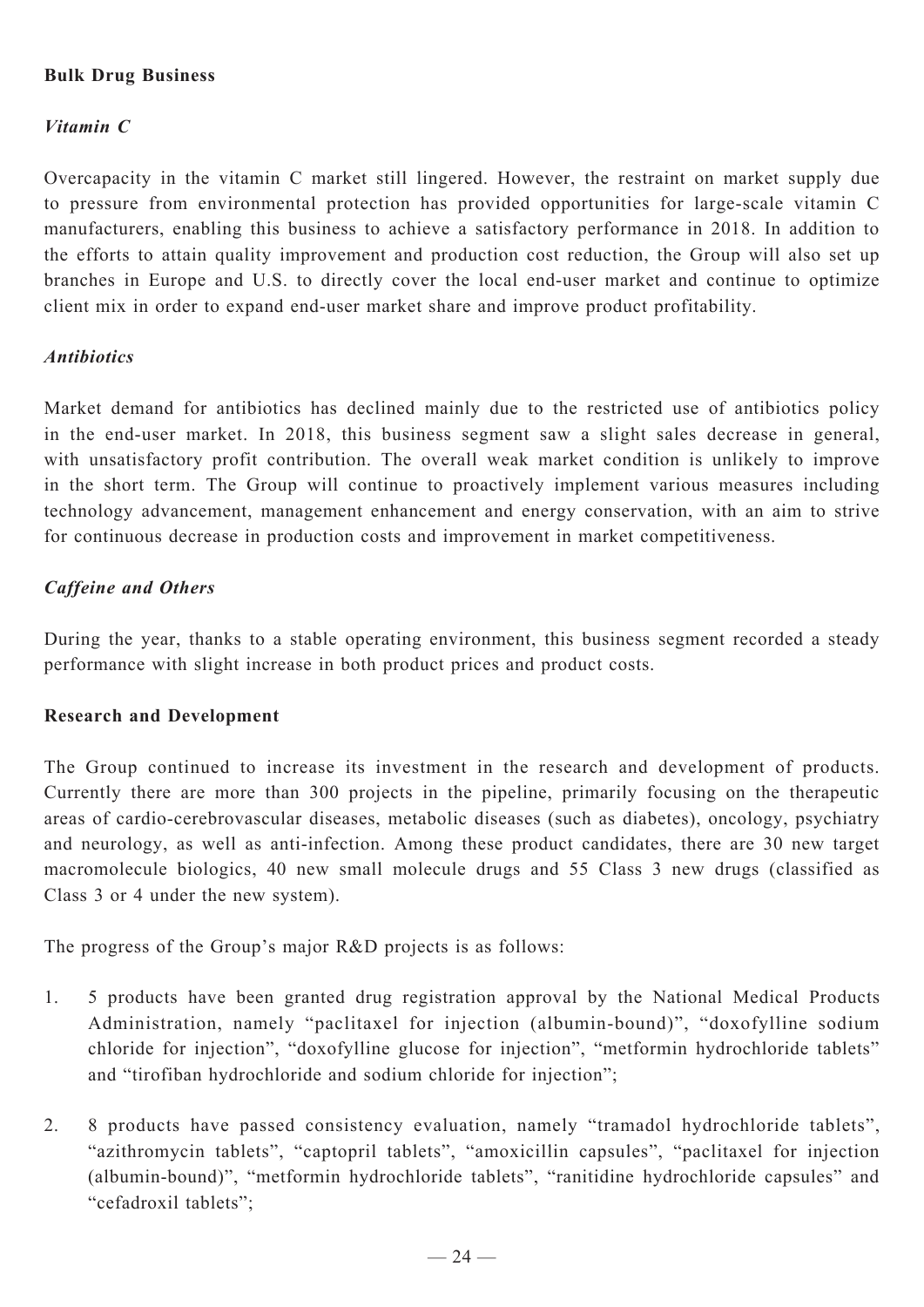# **Bulk Drug Business**

# *Vitamin C*

Overcapacity in the vitamin C market still lingered. However, the restraint on market supply due to pressure from environmental protection has provided opportunities for large-scale vitamin C manufacturers, enabling this business to achieve a satisfactory performance in 2018. In addition to the efforts to attain quality improvement and production cost reduction, the Group will also set up branches in Europe and U.S. to directly cover the local end-user market and continue to optimize client mix in order to expand end-user market share and improve product profitability.

# *Antibiotics*

Market demand for antibiotics has declined mainly due to the restricted use of antibiotics policy in the end-user market. In 2018, this business segment saw a slight sales decrease in general, with unsatisfactory profit contribution. The overall weak market condition is unlikely to improve in the short term. The Group will continue to proactively implement various measures including technology advancement, management enhancement and energy conservation, with an aim to strive for continuous decrease in production costs and improvement in market competitiveness.

# *Caffeine and Others*

During the year, thanks to a stable operating environment, this business segment recorded a steady performance with slight increase in both product prices and product costs.

#### **Research and Development**

The Group continued to increase its investment in the research and development of products. Currently there are more than 300 projects in the pipeline, primarily focusing on the therapeutic areas of cardio-cerebrovascular diseases, metabolic diseases (such as diabetes), oncology, psychiatry and neurology, as well as anti-infection. Among these product candidates, there are 30 new target macromolecule biologics, 40 new small molecule drugs and 55 Class 3 new drugs (classified as Class 3 or 4 under the new system).

The progress of the Group's major R&D projects is as follows:

- 1. 5 products have been granted drug registration approval by the National Medical Products Administration, namely "paclitaxel for injection (albumin-bound)", "doxofylline sodium chloride for injection", "doxofylline glucose for injection", "metformin hydrochloride tablets" and "tirofiban hydrochloride and sodium chloride for injection";
- 2. 8 products have passed consistency evaluation, namely "tramadol hydrochloride tablets", "azithromycin tablets", "captopril tablets", "amoxicillin capsules", "paclitaxel for injection (albumin-bound)", "metformin hydrochloride tablets", "ranitidine hydrochloride capsules" and "cefadroxil tablets";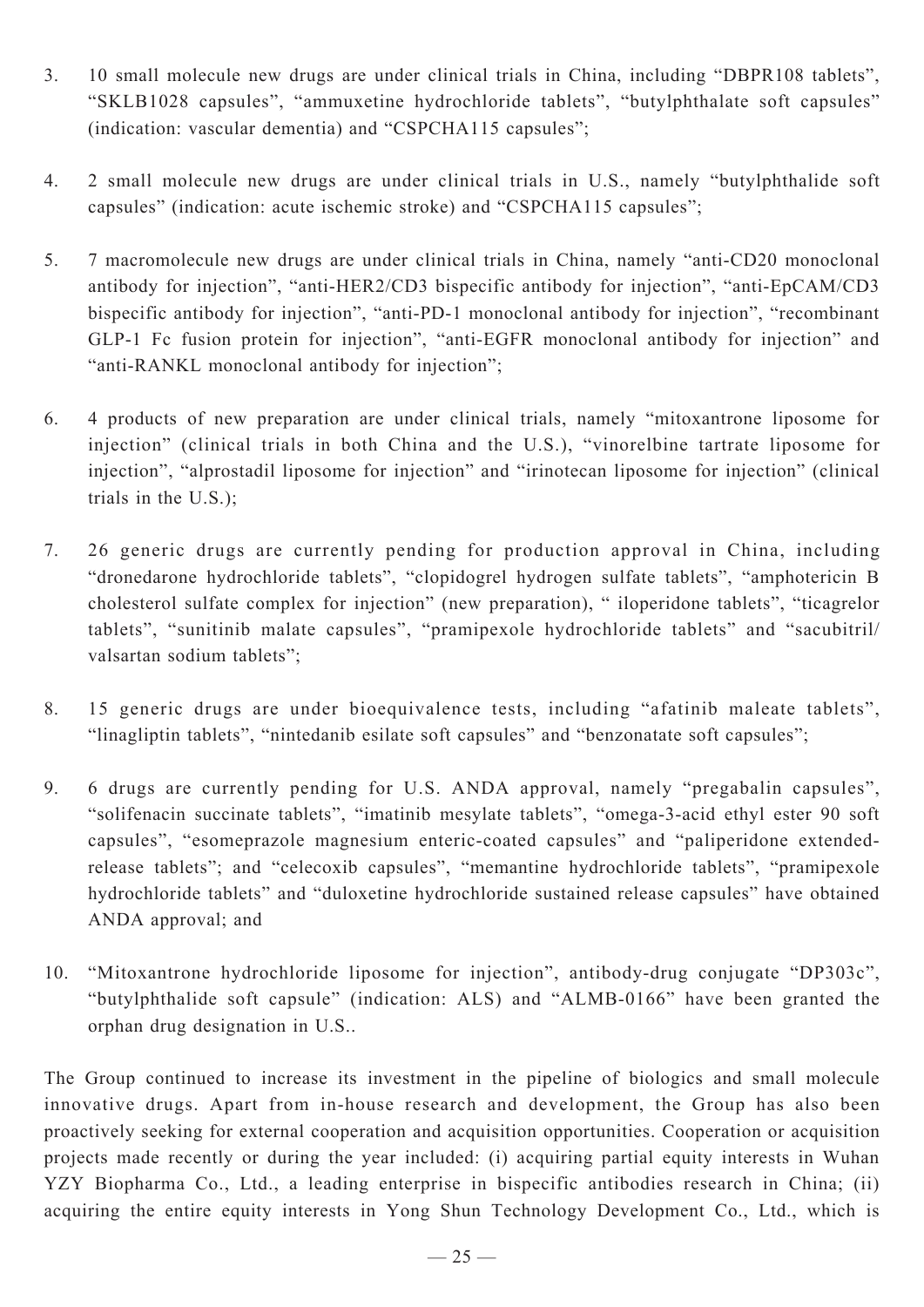- 3. 10 small molecule new drugs are under clinical trials in China, including "DBPR108 tablets", "SKLB1028 capsules", "ammuxetine hydrochloride tablets", "butylphthalate soft capsules" (indication: vascular dementia) and "CSPCHA115 capsules";
- 4. 2 small molecule new drugs are under clinical trials in U.S., namely "butylphthalide soft capsules" (indication: acute ischemic stroke) and "CSPCHA115 capsules";
- 5. 7 macromolecule new drugs are under clinical trials in China, namely "anti-CD20 monoclonal antibody for injection", "anti-HER2/CD3 bispecific antibody for injection", "anti-EpCAM/CD3 bispecific antibody for injection", "anti-PD-1 monoclonal antibody for injection", "recombinant GLP-1 Fc fusion protein for injection", "anti-EGFR monoclonal antibody for injection" and "anti-RANKL monoclonal antibody for injection";
- 6. 4 products of new preparation are under clinical trials, namely "mitoxantrone liposome for injection" (clinical trials in both China and the U.S.), "vinorelbine tartrate liposome for injection", "alprostadil liposome for injection" and "irinotecan liposome for injection" (clinical trials in the U.S.);
- 7. 26 generic drugs are currently pending for production approval in China, including "dronedarone hydrochloride tablets", "clopidogrel hydrogen sulfate tablets", "amphotericin B cholesterol sulfate complex for injection" (new preparation), " iloperidone tablets", "ticagrelor tablets", "sunitinib malate capsules", "pramipexole hydrochloride tablets" and "sacubitril/ valsartan sodium tablets";
- 8. 15 generic drugs are under bioequivalence tests, including "afatinib maleate tablets", "linagliptin tablets", "nintedanib esilate soft capsules" and "benzonatate soft capsules";
- 9. 6 drugs are currently pending for U.S. ANDA approval, namely "pregabalin capsules", "solifenacin succinate tablets", "imatinib mesylate tablets", "omega-3-acid ethyl ester 90 soft capsules", "esomeprazole magnesium enteric-coated capsules" and "paliperidone extendedrelease tablets"; and "celecoxib capsules", "memantine hydrochloride tablets", "pramipexole hydrochloride tablets" and "duloxetine hydrochloride sustained release capsules" have obtained ANDA approval; and
- 10. "Mitoxantrone hydrochloride liposome for injection", antibody-drug conjugate "DP303c", "butylphthalide soft capsule" (indication: ALS) and "ALMB-0166" have been granted the orphan drug designation in U.S..

The Group continued to increase its investment in the pipeline of biologics and small molecule innovative drugs. Apart from in-house research and development, the Group has also been proactively seeking for external cooperation and acquisition opportunities. Cooperation or acquisition projects made recently or during the year included: (i) acquiring partial equity interests in Wuhan YZY Biopharma Co., Ltd., a leading enterprise in bispecific antibodies research in China; (ii) acquiring the entire equity interests in Yong Shun Technology Development Co., Ltd., which is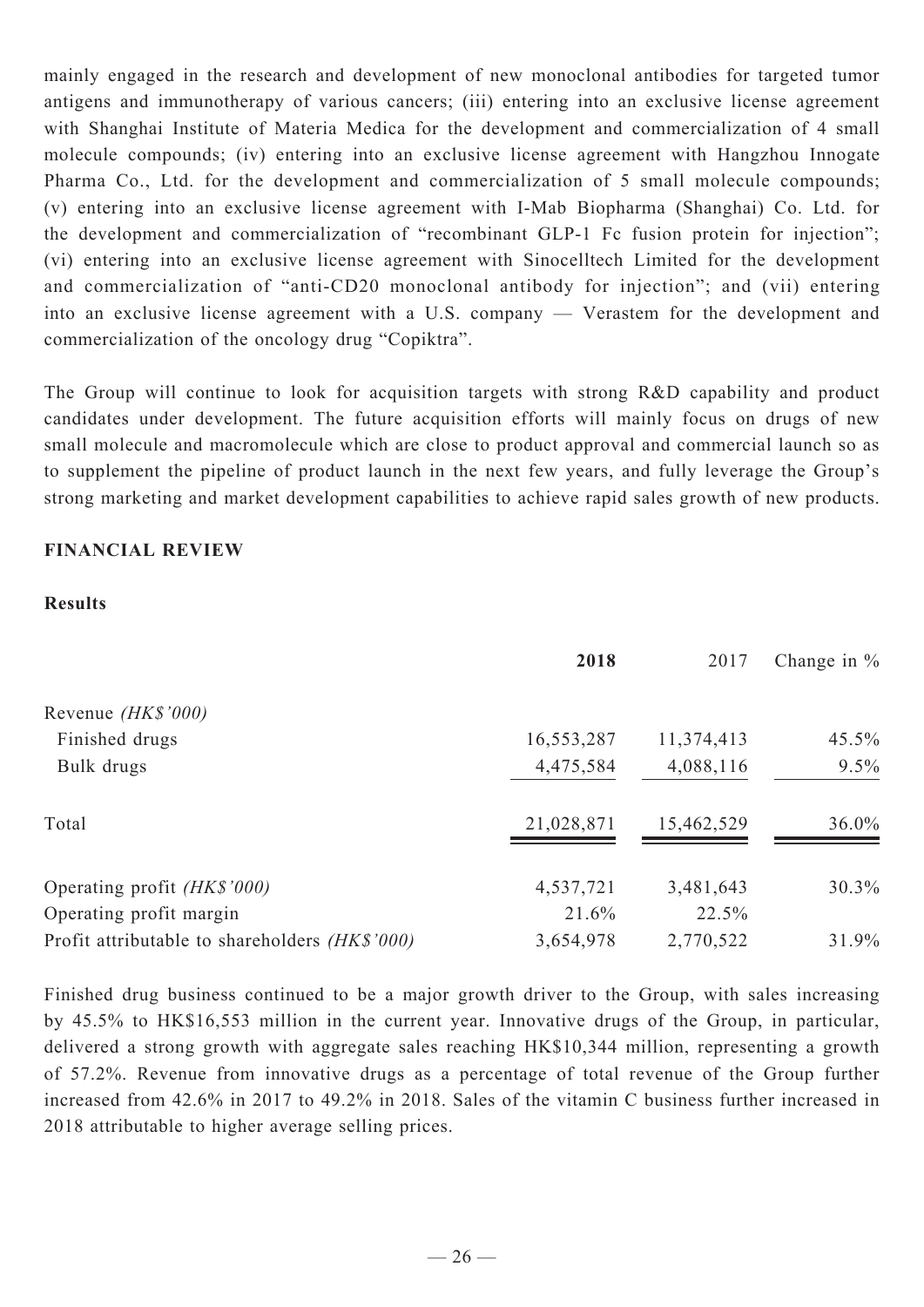mainly engaged in the research and development of new monoclonal antibodies for targeted tumor antigens and immunotherapy of various cancers; (iii) entering into an exclusive license agreement with Shanghai Institute of Materia Medica for the development and commercialization of 4 small molecule compounds; (iv) entering into an exclusive license agreement with Hangzhou Innogate Pharma Co., Ltd. for the development and commercialization of 5 small molecule compounds; (v) entering into an exclusive license agreement with I-Mab Biopharma (Shanghai) Co. Ltd. for the development and commercialization of "recombinant GLP-1 Fc fusion protein for injection"; (vi) entering into an exclusive license agreement with Sinocelltech Limited for the development and commercialization of "anti-CD20 monoclonal antibody for injection"; and (vii) entering into an exclusive license agreement with a U.S. company — Verastem for the development and commercialization of the oncology drug "Copiktra".

The Group will continue to look for acquisition targets with strong R&D capability and product candidates under development. The future acquisition efforts will mainly focus on drugs of new small molecule and macromolecule which are close to product approval and commercial launch so as to supplement the pipeline of product launch in the next few years, and fully leverage the Group's strong marketing and market development capabilities to achieve rapid sales growth of new products.

# **FINANCIAL REVIEW**

#### **Results**

|                                                | 2018       | 2017       | Change in $%$ |
|------------------------------------------------|------------|------------|---------------|
| Revenue (HK\$'000)                             |            |            |               |
| Finished drugs                                 | 16,553,287 | 11,374,413 | 45.5%         |
| Bulk drugs                                     | 4,475,584  | 4,088,116  | 9.5%          |
| Total                                          | 21,028,871 | 15,462,529 | 36.0%         |
| Operating profit (HK\$'000)                    | 4,537,721  | 3,481,643  | 30.3%         |
| Operating profit margin                        | 21.6%      | 22.5%      |               |
| Profit attributable to shareholders (HK\$'000) | 3,654,978  | 2,770,522  | 31.9%         |

Finished drug business continued to be a major growth driver to the Group, with sales increasing by 45.5% to HK\$16,553 million in the current year. Innovative drugs of the Group, in particular, delivered a strong growth with aggregate sales reaching HK\$10,344 million, representing a growth of 57.2%. Revenue from innovative drugs as a percentage of total revenue of the Group further increased from 42.6% in 2017 to 49.2% in 2018. Sales of the vitamin C business further increased in 2018 attributable to higher average selling prices.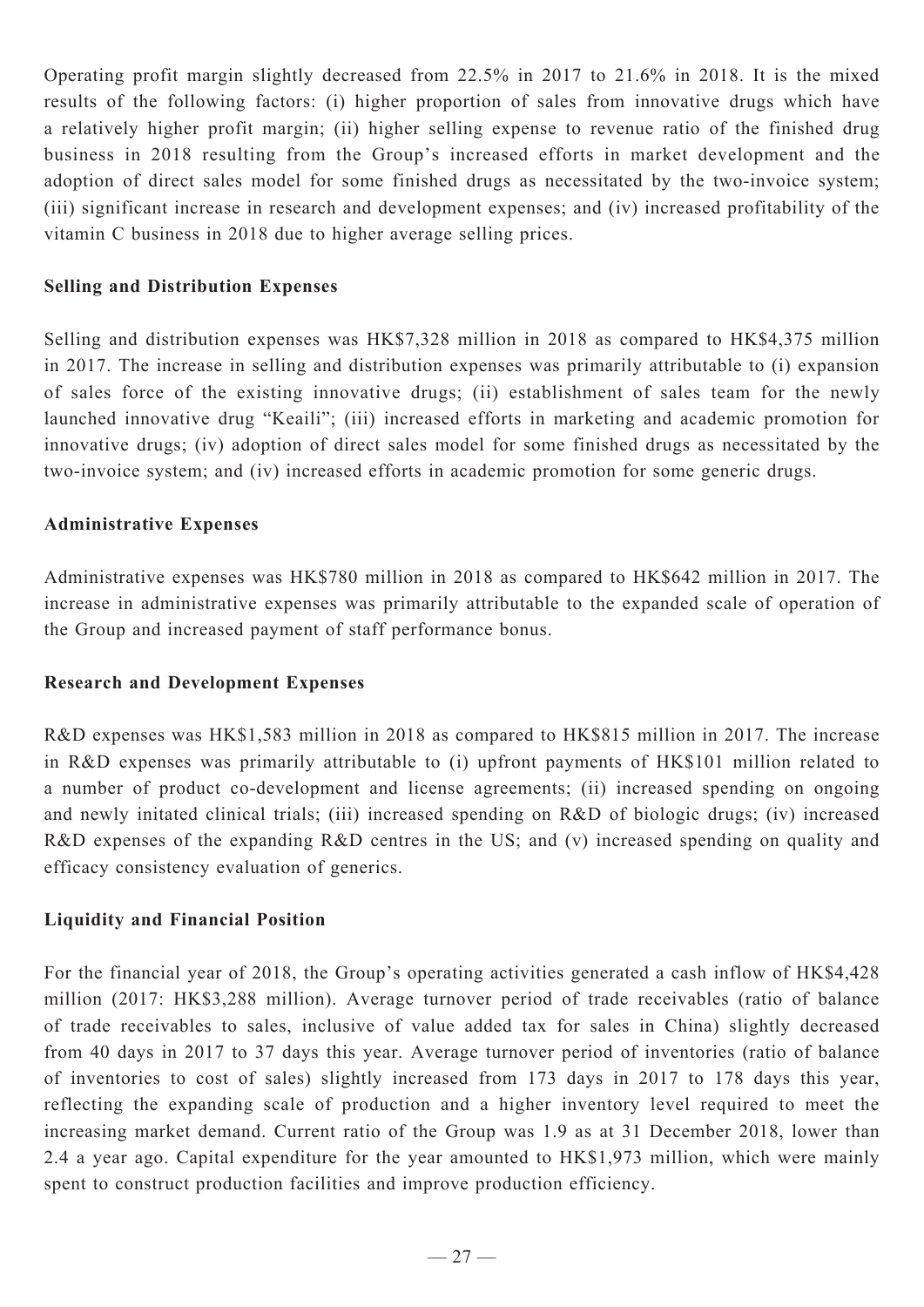Operating profit margin slightly decreased from 22.5% in 2017 to 21.6% in 2018. It is the mixed results of the following factors: (i) higher proportion of sales from innovative drugs which have a relatively higher profit margin; (ii) higher selling expense to revenue ratio of the finished drug business in 2018 resulting from the Group's increased efforts in market development and the adoption of direct sales model for some finished drugs as necessitated by the two-invoice system; (iii) significant increase in research and development expenses; and (iv) increased profitability of the vitamin C business in 2018 due to higher average selling prices.

### **Selling and Distribution Expenses**

Selling and distribution expenses was HK\$7,328 million in 2018 as compared to HK\$4,375 million in 2017. The increase in selling and distribution expenses was primarily attributable to (i) expansion of sales force of the existing innovative drugs; (ii) establishment of sales team for the newly launched innovative drug "Keaili"; (iii) increased efforts in marketing and academic promotion for innovative drugs; (iv) adoption of direct sales model for some finished drugs as necessitated by the two-invoice system; and (iv) increased efforts in academic promotion for some generic drugs.

#### **Administrative Expenses**

Administrative expenses was HK\$780 million in 2018 as compared to HK\$642 million in 2017. The increase in administrative expenses was primarily attributable to the expanded scale of operation of the Group and increased payment of staff performance bonus.

#### **Research and Development Expenses**

R&D expenses was HK\$1,583 million in 2018 as compared to HK\$815 million in 2017. The increase in R&D expenses was primarily attributable to (i) upfront payments of HK\$101 million related to a number of product co-development and license agreements; (ii) increased spending on ongoing and newly initated clinical trials; (iii) increased spending on R&D of biologic drugs; (iv) increased R&D expenses of the expanding R&D centres in the US; and (v) increased spending on quality and efficacy consistency evaluation of generics.

#### **Liquidity and Financial Position**

For the financial year of 2018, the Group's operating activities generated a cash inflow of HK\$4,428 million (2017: HK\$3,288 million). Average turnover period of trade receivables (ratio of balance of trade receivables to sales, inclusive of value added tax for sales in China) slightly decreased from 40 days in 2017 to 37 days this year. Average turnover period of inventories (ratio of balance of inventories to cost of sales) slightly increased from 173 days in 2017 to 178 days this year, reflecting the expanding scale of production and a higher inventory level required to meet the increasing market demand. Current ratio of the Group was 1.9 as at 31 December 2018, lower than 2.4 a year ago. Capital expenditure for the year amounted to HK\$1,973 million, which were mainly spent to construct production facilities and improve production efficiency.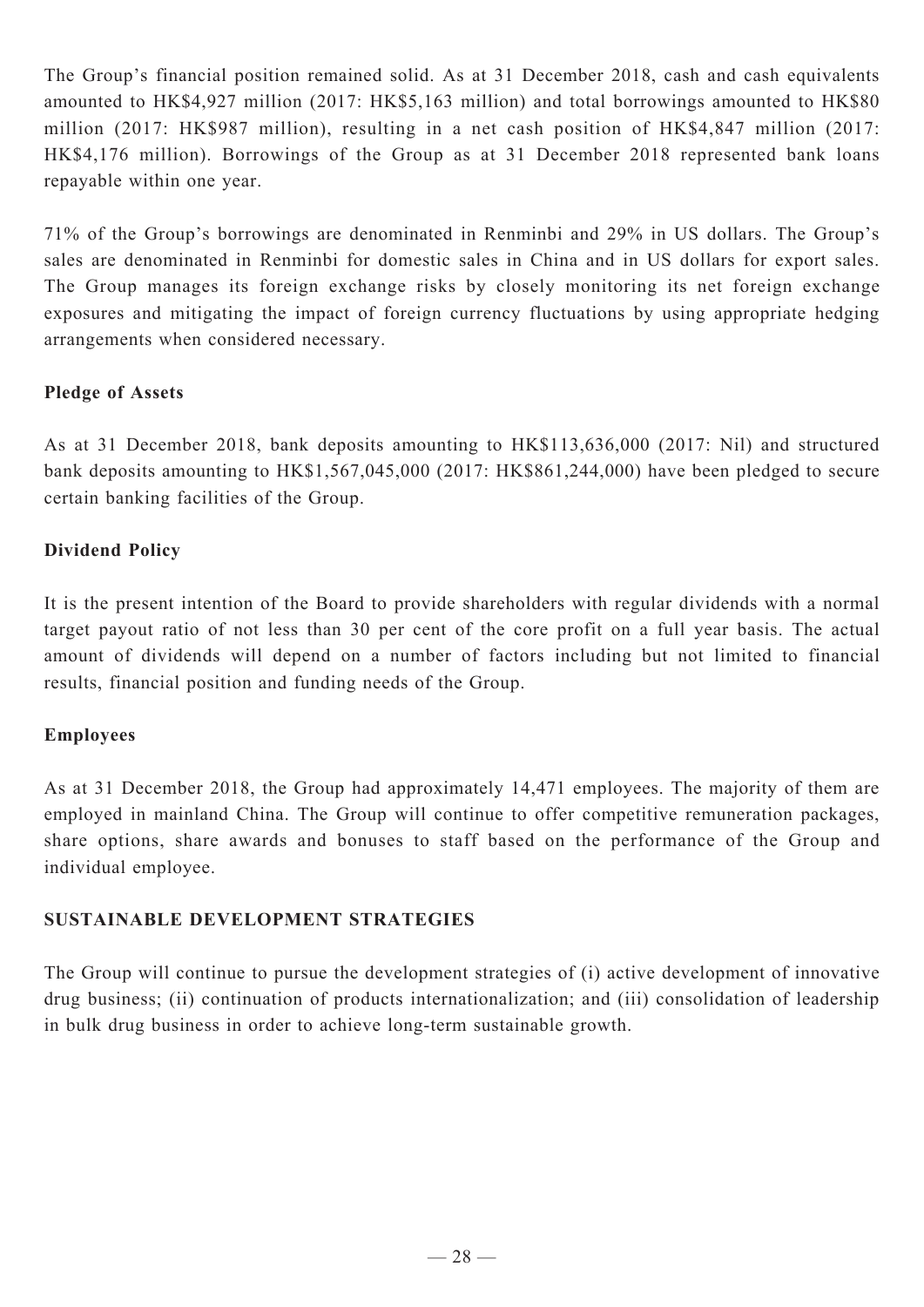The Group's financial position remained solid. As at 31 December 2018, cash and cash equivalents amounted to HK\$4,927 million (2017: HK\$5,163 million) and total borrowings amounted to HK\$80 million (2017: HK\$987 million), resulting in a net cash position of HK\$4,847 million (2017: HK\$4,176 million). Borrowings of the Group as at 31 December 2018 represented bank loans repayable within one year.

71% of the Group's borrowings are denominated in Renminbi and 29% in US dollars. The Group's sales are denominated in Renminbi for domestic sales in China and in US dollars for export sales. The Group manages its foreign exchange risks by closely monitoring its net foreign exchange exposures and mitigating the impact of foreign currency fluctuations by using appropriate hedging arrangements when considered necessary.

# **Pledge of Assets**

As at 31 December 2018, bank deposits amounting to HK\$113,636,000 (2017: Nil) and structured bank deposits amounting to HK\$1,567,045,000 (2017: HK\$861,244,000) have been pledged to secure certain banking facilities of the Group.

# **Dividend Policy**

It is the present intention of the Board to provide shareholders with regular dividends with a normal target payout ratio of not less than 30 per cent of the core profit on a full year basis. The actual amount of dividends will depend on a number of factors including but not limited to financial results, financial position and funding needs of the Group.

# **Employees**

As at 31 December 2018, the Group had approximately 14,471 employees. The majority of them are employed in mainland China. The Group will continue to offer competitive remuneration packages, share options, share awards and bonuses to staff based on the performance of the Group and individual employee.

# **SUSTAINABLE DEVELOPMENT STRATEGIES**

The Group will continue to pursue the development strategies of (i) active development of innovative drug business; (ii) continuation of products internationalization; and (iii) consolidation of leadership in bulk drug business in order to achieve long-term sustainable growth.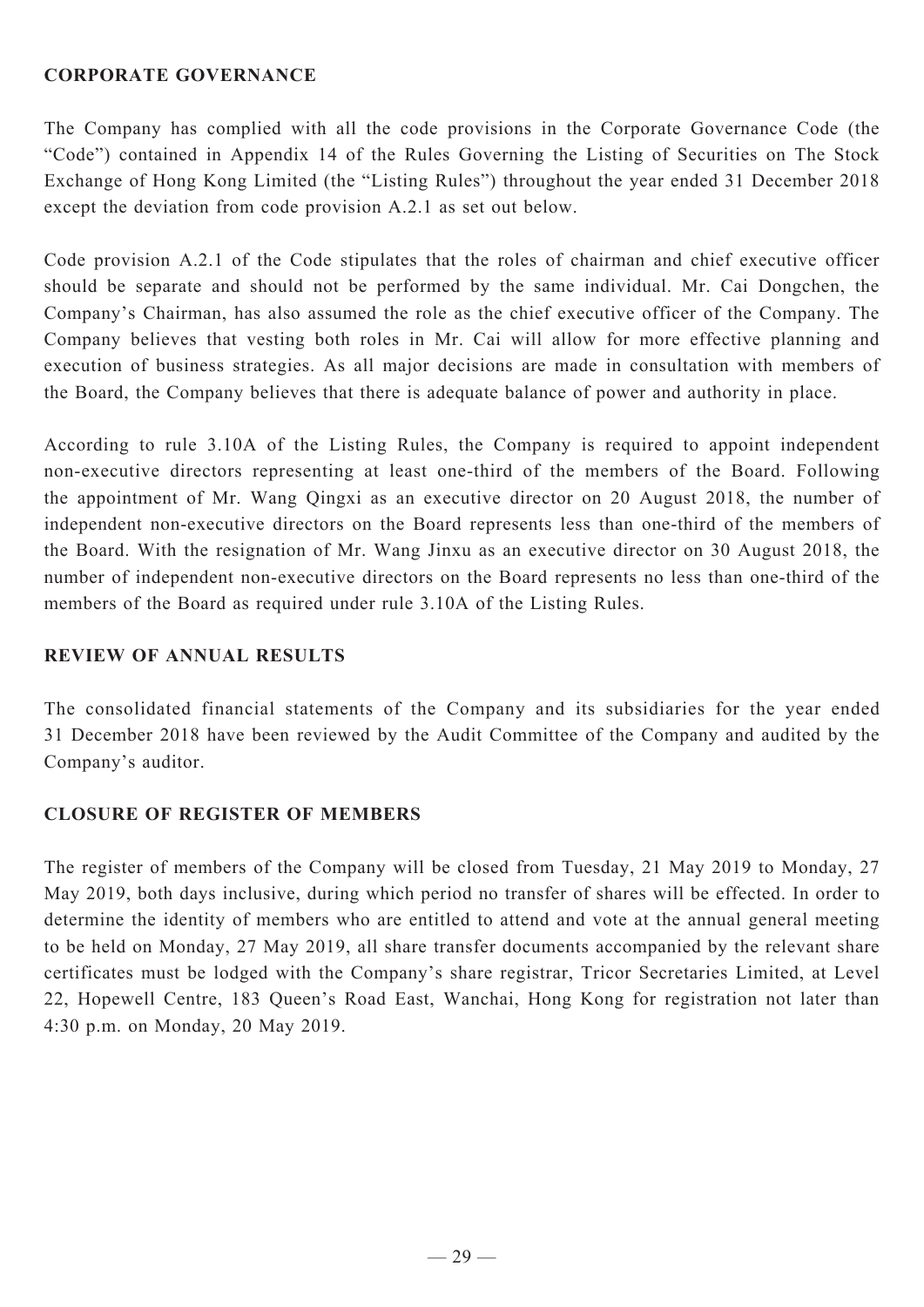# **CORPORATE GOVERNANCE**

The Company has complied with all the code provisions in the Corporate Governance Code (the "Code") contained in Appendix 14 of the Rules Governing the Listing of Securities on The Stock Exchange of Hong Kong Limited (the "Listing Rules") throughout the year ended 31 December 2018 except the deviation from code provision A.2.1 as set out below.

Code provision A.2.1 of the Code stipulates that the roles of chairman and chief executive officer should be separate and should not be performed by the same individual. Mr. Cai Dongchen, the Company's Chairman, has also assumed the role as the chief executive officer of the Company. The Company believes that vesting both roles in Mr. Cai will allow for more effective planning and execution of business strategies. As all major decisions are made in consultation with members of the Board, the Company believes that there is adequate balance of power and authority in place.

According to rule 3.10A of the Listing Rules, the Company is required to appoint independent non-executive directors representing at least one-third of the members of the Board. Following the appointment of Mr. Wang Qingxi as an executive director on 20 August 2018, the number of independent non-executive directors on the Board represents less than one-third of the members of the Board. With the resignation of Mr. Wang Jinxu as an executive director on 30 August 2018, the number of independent non-executive directors on the Board represents no less than one-third of the members of the Board as required under rule 3.10A of the Listing Rules.

# **REVIEW OF ANNUAL RESULTS**

The consolidated financial statements of the Company and its subsidiaries for the year ended 31 December 2018 have been reviewed by the Audit Committee of the Company and audited by the Company's auditor.

# **CLOSURE OF REGISTER OF MEMBERS**

The register of members of the Company will be closed from Tuesday, 21 May 2019 to Monday, 27 May 2019, both days inclusive, during which period no transfer of shares will be effected. In order to determine the identity of members who are entitled to attend and vote at the annual general meeting to be held on Monday, 27 May 2019, all share transfer documents accompanied by the relevant share certificates must be lodged with the Company's share registrar, Tricor Secretaries Limited, at Level 22, Hopewell Centre, 183 Queen's Road East, Wanchai, Hong Kong for registration not later than 4:30 p.m. on Monday, 20 May 2019.